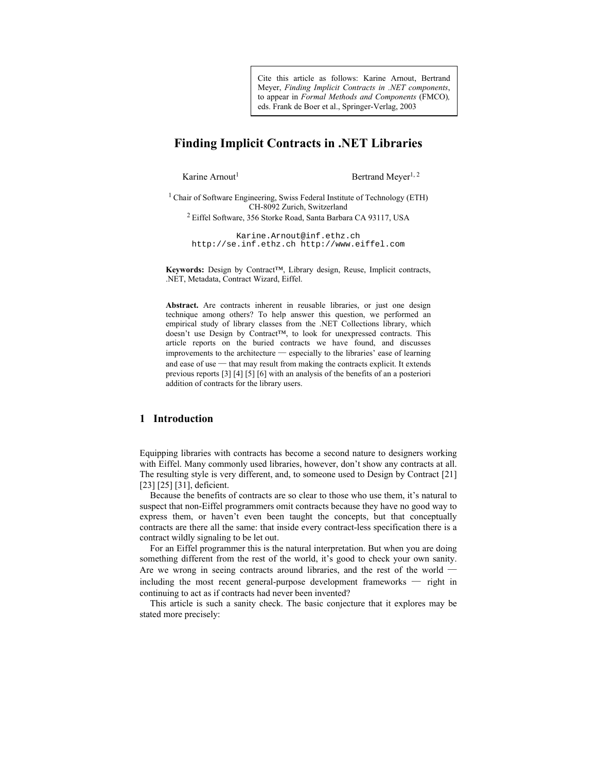Cite this article as follows: Karine Arnout, Bertrand Meyer, *Finding Implicit Contracts in .NET components*, to appear in *Formal Methods and Components* (FMCO)*,*  eds. Frank de Boer et al., Springer-Verlag, 2003

# **Finding Implicit Contracts in .NET Libraries**

Karine Arnout<sup>1</sup> Bertrand Meyer<sup>1, 2</sup>

<sup>1</sup> Chair of Software Engineering, Swiss Federal Institute of Technology (ETH) CH-8092 Zurich, Switzerland 2 Eiffel Software, 356 Storke Road, Santa Barbara CA 93117, USA

Karine.Arnout@inf.ethz.ch http://se.inf.ethz.ch http://www.eiffel.com

**Keywords:** Design by Contract™, Library design, Reuse, Implicit contracts, .NET, Metadata, Contract Wizard, Eiffel.

**Abstract.** Are contracts inherent in reusable libraries, or just one design technique among others? To help answer this question, we performed an empirical study of library classes from the .NET Collections library, which doesn't use Design by Contract™, to look for unexpressed contracts. This article reports on the buried contracts we have found, and discusses improvements to the architecture — especially to the libraries' ease of learning and ease of use — that may result from making the contracts explicit. It extends previous reports [3] [4] [5] [6] with an analysis of the benefits of an a posteriori addition of contracts for the library users.

# **1 Introduction**

Equipping libraries with contracts has become a second nature to designers working with Eiffel. Many commonly used libraries, however, don't show any contracts at all. The resulting style is very different, and, to someone used to Design by Contract [21] [23] [25] [31], deficient.

Because the benefits of contracts are so clear to those who use them, it's natural to suspect that non-Eiffel programmers omit contracts because they have no good way to express them, or haven't even been taught the concepts, but that conceptually contracts are there all the same: that inside every contract-less specification there is a contract wildly signaling to be let out.

For an Eiffel programmer this is the natural interpretation. But when you are doing something different from the rest of the world, it's good to check your own sanity. Are we wrong in seeing contracts around libraries, and the rest of the world  $$ including the most recent general-purpose development frameworks  $-$  right in continuing to act as if contracts had never been invented?

This article is such a sanity check. The basic conjecture that it explores may be stated more precisely: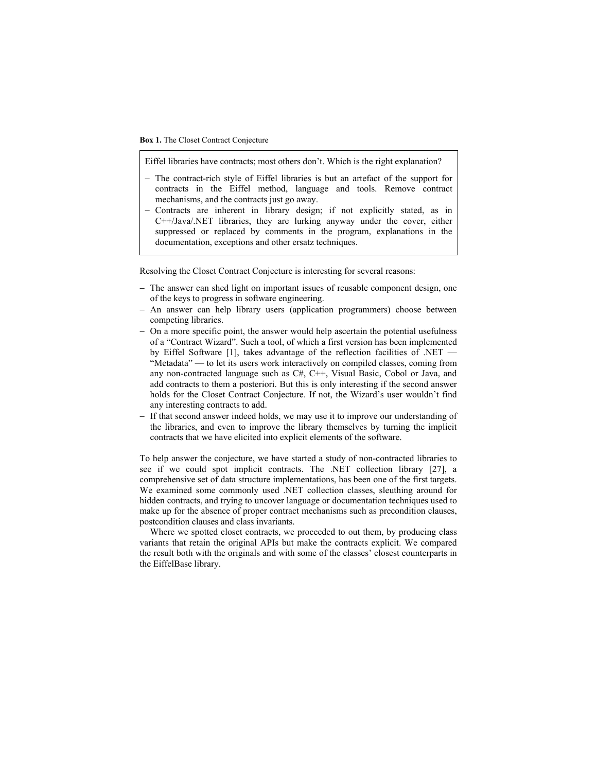**Box 1.** The Closet Contract Conjecture

Eiffel libraries have contracts; most others don't. Which is the right explanation?

- − The contract-rich style of Eiffel libraries is but an artefact of the support for contracts in the Eiffel method, language and tools. Remove contract mechanisms, and the contracts just go away.
- − Contracts are inherent in library design; if not explicitly stated, as in C++/Java/.NET libraries, they are lurking anyway under the cover, either suppressed or replaced by comments in the program, explanations in the documentation, exceptions and other ersatz techniques.

Resolving the Closet Contract Conjecture is interesting for several reasons:

- The answer can shed light on important issues of reusable component design, one of the keys to progress in software engineering.
- − An answer can help library users (application programmers) choose between competing libraries.
- − On a more specific point, the answer would help ascertain the potential usefulness of a "Contract Wizard". Such a tool, of which a first version has been implemented by Eiffel Software [1], takes advantage of the reflection facilities of .NET — "Metadata" — to let its users work interactively on compiled classes, coming from any non-contracted language such as C#, C++, Visual Basic, Cobol or Java, and add contracts to them a posteriori. But this is only interesting if the second answer holds for the Closet Contract Conjecture. If not, the Wizard's user wouldn't find any interesting contracts to add.
- − If that second answer indeed holds, we may use it to improve our understanding of the libraries, and even to improve the library themselves by turning the implicit contracts that we have elicited into explicit elements of the software.

To help answer the conjecture, we have started a study of non-contracted libraries to see if we could spot implicit contracts. The .NET collection library [27], a comprehensive set of data structure implementations, has been one of the first targets. We examined some commonly used .NET collection classes, sleuthing around for hidden contracts, and trying to uncover language or documentation techniques used to make up for the absence of proper contract mechanisms such as precondition clauses, postcondition clauses and class invariants.

Where we spotted closet contracts, we proceeded to out them, by producing class variants that retain the original APIs but make the contracts explicit. We compared the result both with the originals and with some of the classes' closest counterparts in the EiffelBase library.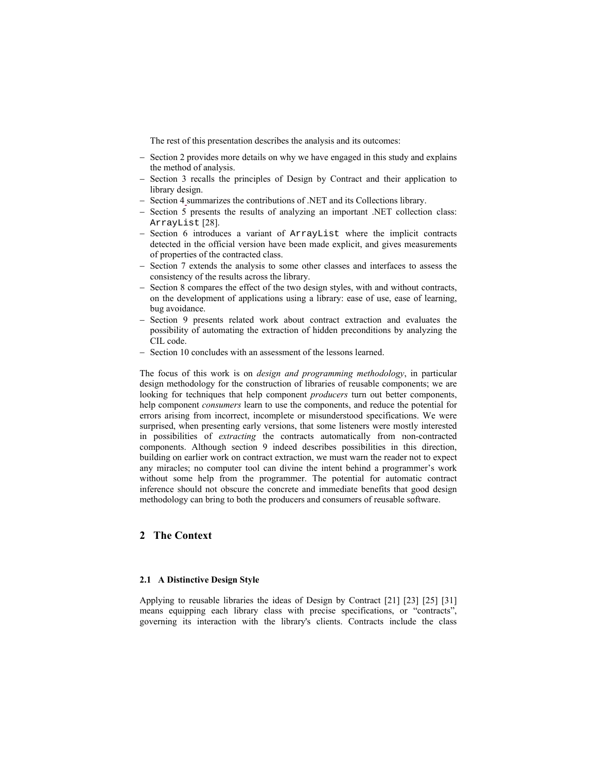The rest of this presentation describes the analysis and its outcomes:

- − Section 2 provides more details on why we have engaged in this study and explains the method of analysis.
- − Section 3 recalls the principles of Design by Contract and their application to library design.
- − Section 4 summarizes the contributions of .NET and its Collections library.
- Section 5 presents the results of analyzing an important .NET collection class: ArrayList [28].
- − Section 6 introduces a variant of ArrayList where the implicit contracts detected in the official version have been made explicit, and gives measurements of properties of the contracted class.
- Section 7 extends the analysis to some other classes and interfaces to assess the consistency of the results across the library.
- Section 8 compares the effect of the two design styles, with and without contracts, on the development of applications using a library: ease of use, ease of learning, bug avoidance.
- Section 9 presents related work about contract extraction and evaluates the possibility of automating the extraction of hidden preconditions by analyzing the CIL code.
- − Section 10 concludes with an assessment of the lessons learned.

The focus of this work is on *design and programming methodology*, in particular design methodology for the construction of libraries of reusable components; we are looking for techniques that help component *producers* turn out better components, help component *consumers* learn to use the components, and reduce the potential for errors arising from incorrect, incomplete or misunderstood specifications. We were surprised, when presenting early versions, that some listeners were mostly interested in possibilities of *extracting* the contracts automatically from non-contracted components. Although section 9 indeed describes possibilities in this direction, building on earlier work on contract extraction, we must warn the reader not to expect any miracles; no computer tool can divine the intent behind a programmer's work without some help from the programmer. The potential for automatic contract inference should not obscure the concrete and immediate benefits that good design methodology can bring to both the producers and consumers of reusable software.

# **2 The Context**

## **2.1 A Distinctive Design Style**

Applying to reusable libraries the ideas of Design by Contract [21] [23] [25] [31] means equipping each library class with precise specifications, or "contracts", governing its interaction with the library's clients. Contracts include the class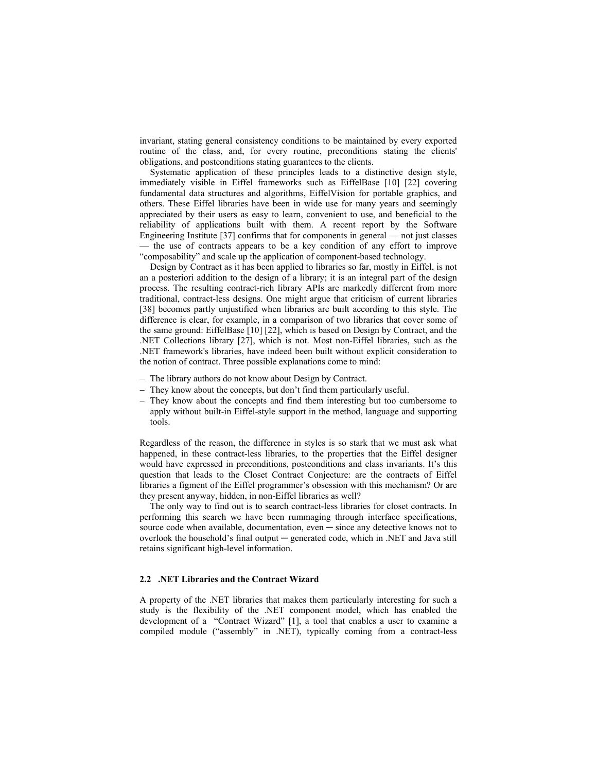invariant, stating general consistency conditions to be maintained by every exported routine of the class, and, for every routine, preconditions stating the clients' obligations, and postconditions stating guarantees to the clients.

Systematic application of these principles leads to a distinctive design style, immediately visible in Eiffel frameworks such as EiffelBase [10] [22] covering fundamental data structures and algorithms, EiffelVision for portable graphics, and others. These Eiffel libraries have been in wide use for many years and seemingly appreciated by their users as easy to learn, convenient to use, and beneficial to the reliability of applications built with them. A recent report by the Software Engineering Institute [37] confirms that for components in general — not just classes — the use of contracts appears to be a key condition of any effort to improve "composability" and scale up the application of component-based technology.

Design by Contract as it has been applied to libraries so far, mostly in Eiffel, is not an a posteriori addition to the design of a library; it is an integral part of the design process. The resulting contract-rich library APIs are markedly different from more traditional, contract-less designs. One might argue that criticism of current libraries [38] becomes partly unjustified when libraries are built according to this style. The difference is clear, for example, in a comparison of two libraries that cover some of the same ground: EiffelBase [10] [22], which is based on Design by Contract, and the .NET Collections library [27], which is not. Most non-Eiffel libraries, such as the .NET framework's libraries, have indeed been built without explicit consideration to the notion of contract. Three possible explanations come to mind:

- − The library authors do not know about Design by Contract.
- − They know about the concepts, but don't find them particularly useful.
- − They know about the concepts and find them interesting but too cumbersome to apply without built-in Eiffel-style support in the method, language and supporting tools.

Regardless of the reason, the difference in styles is so stark that we must ask what happened, in these contract-less libraries, to the properties that the Eiffel designer would have expressed in preconditions, postconditions and class invariants. It's this question that leads to the Closet Contract Conjecture: are the contracts of Eiffel libraries a figment of the Eiffel programmer's obsession with this mechanism? Or are they present anyway, hidden, in non-Eiffel libraries as well?

The only way to find out is to search contract-less libraries for closet contracts. In performing this search we have been rummaging through interface specifications, source code when available, documentation, even  $-$  since any detective knows not to overlook the household's final output ─ generated code, which in .NET and Java still retains significant high-level information.

## **2.2 .NET Libraries and the Contract Wizard**

A property of the .NET libraries that makes them particularly interesting for such a study is the flexibility of the .NET component model, which has enabled the development of a "Contract Wizard" [1], a tool that enables a user to examine a compiled module ("assembly" in .NET), typically coming from a contract-less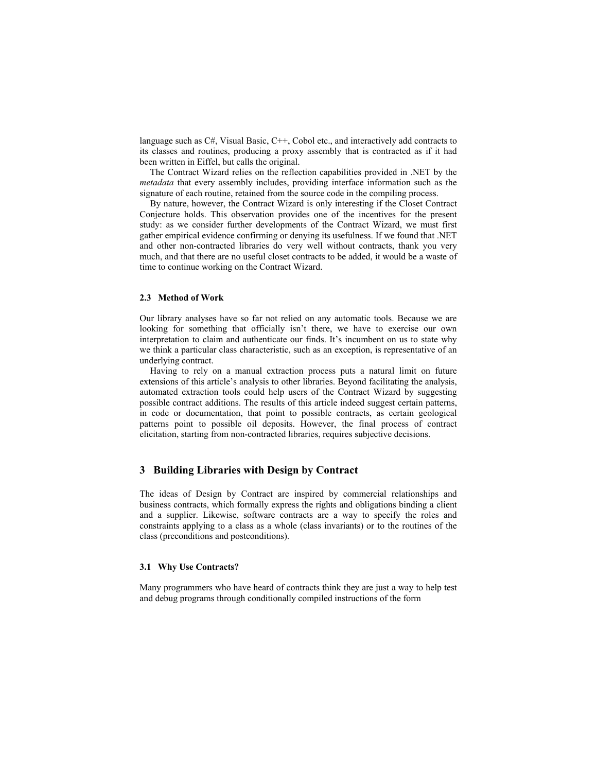language such as C#, Visual Basic, C++, Cobol etc., and interactively add contracts to its classes and routines, producing a proxy assembly that is contracted as if it had been written in Eiffel, but calls the original.

The Contract Wizard relies on the reflection capabilities provided in .NET by the *metadata* that every assembly includes, providing interface information such as the signature of each routine, retained from the source code in the compiling process.

By nature, however, the Contract Wizard is only interesting if the Closet Contract Conjecture holds. This observation provides one of the incentives for the present study: as we consider further developments of the Contract Wizard, we must first gather empirical evidence confirming or denying its usefulness. If we found that .NET and other non-contracted libraries do very well without contracts, thank you very much, and that there are no useful closet contracts to be added, it would be a waste of time to continue working on the Contract Wizard.

#### **2.3 Method of Work**

Our library analyses have so far not relied on any automatic tools. Because we are looking for something that officially isn't there, we have to exercise our own interpretation to claim and authenticate our finds. It's incumbent on us to state why we think a particular class characteristic, such as an exception, is representative of an underlying contract.

Having to rely on a manual extraction process puts a natural limit on future extensions of this article's analysis to other libraries. Beyond facilitating the analysis, automated extraction tools could help users of the Contract Wizard by suggesting possible contract additions. The results of this article indeed suggest certain patterns, in code or documentation, that point to possible contracts, as certain geological patterns point to possible oil deposits. However, the final process of contract elicitation, starting from non-contracted libraries, requires subjective decisions.

## **3 Building Libraries with Design by Contract**

The ideas of Design by Contract are inspired by commercial relationships and business contracts, which formally express the rights and obligations binding a client and a supplier. Likewise, software contracts are a way to specify the roles and constraints applying to a class as a whole (class invariants) or to the routines of the class (preconditions and postconditions).

## **3.1 Why Use Contracts?**

Many programmers who have heard of contracts think they are just a way to help test and debug programs through conditionally compiled instructions of the form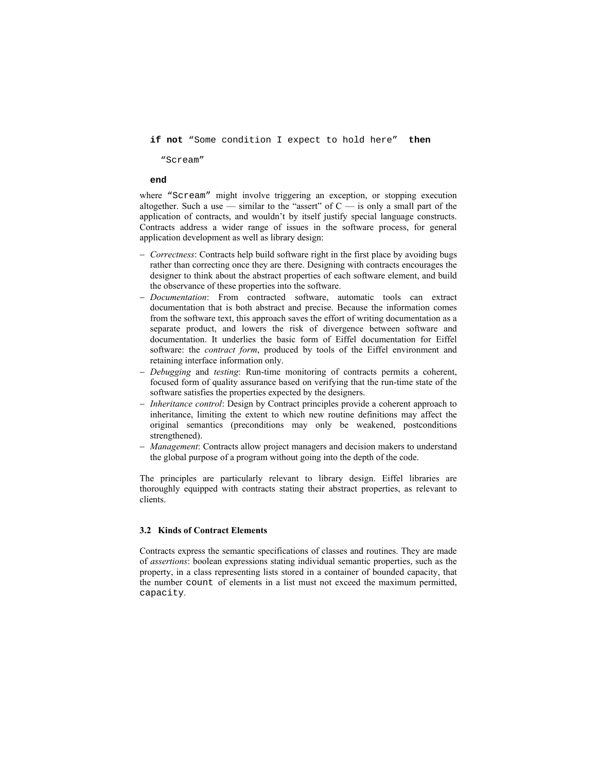## **if not** "Some condition I expect to hold here" **then**

## "Scream"

#### **end**

where "Scream" might involve triggering an exception, or stopping execution altogether. Such a use — similar to the "assert" of  $C$  — is only a small part of the application of contracts, and wouldn't by itself justify special language constructs. Contracts address a wider range of issues in the software process, for general application development as well as library design:

- − *Correctness*: Contracts help build software right in the first place by avoiding bugs rather than correcting once they are there. Designing with contracts encourages the designer to think about the abstract properties of each software element, and build the observance of these properties into the software.
- − *Documentation*: From contracted software, automatic tools can extract documentation that is both abstract and precise. Because the information comes from the software text, this approach saves the effort of writing documentation as a separate product, and lowers the risk of divergence between software and documentation. It underlies the basic form of Eiffel documentation for Eiffel software: the *contract form*, produced by tools of the Eiffel environment and retaining interface information only.
- − *Debugging* and *testing*: Run-time monitoring of contracts permits a coherent, focused form of quality assurance based on verifying that the run-time state of the software satisfies the properties expected by the designers.
- − *Inheritance control*: Design by Contract principles provide a coherent approach to inheritance, limiting the extent to which new routine definitions may affect the original semantics (preconditions may only be weakened, postconditions strengthened).
- − *Management*: Contracts allow project managers and decision makers to understand the global purpose of a program without going into the depth of the code.

The principles are particularly relevant to library design. Eiffel libraries are thoroughly equipped with contracts stating their abstract properties, as relevant to clients.

## **3.2 Kinds of Contract Elements**

Contracts express the semantic specifications of classes and routines. They are made of *assertions*: boolean expressions stating individual semantic properties, such as the property, in a class representing lists stored in a container of bounded capacity, that the number count of elements in a list must not exceed the maximum permitted, capacity.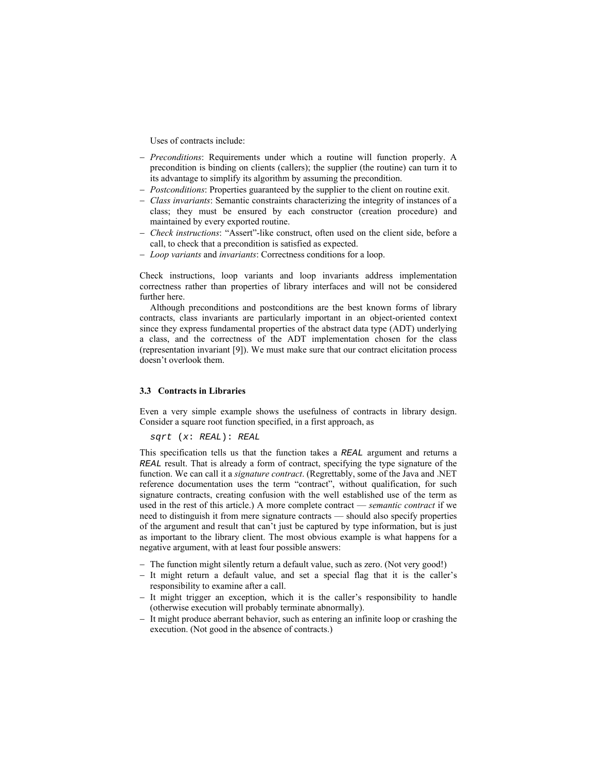Uses of contracts include:

- − *Preconditions*: Requirements under which a routine will function properly. A precondition is binding on clients (callers); the supplier (the routine) can turn it to its advantage to simplify its algorithm by assuming the precondition.
- − *Postconditions*: Properties guaranteed by the supplier to the client on routine exit.
- − *Class invariants*: Semantic constraints characterizing the integrity of instances of a class; they must be ensured by each constructor (creation procedure) and maintained by every exported routine.
- − *Check instructions*: "Assert"-like construct, often used on the client side, before a call, to check that a precondition is satisfied as expected.
- − *Loop variants* and *invariants*: Correctness conditions for a loop.

Check instructions, loop variants and loop invariants address implementation correctness rather than properties of library interfaces and will not be considered further here.

Although preconditions and postconditions are the best known forms of library contracts, class invariants are particularly important in an object-oriented context since they express fundamental properties of the abstract data type (ADT) underlying a class, and the correctness of the ADT implementation chosen for the class (representation invariant [9]). We must make sure that our contract elicitation process doesn't overlook them.

## **3.3 Contracts in Libraries**

Even a very simple example shows the usefulness of contracts in library design. Consider a square root function specified, in a first approach, as

```
sqrt (x: REAL): REAL
```
This specification tells us that the function takes a REAL argument and returns a REAL result. That is already a form of contract, specifying the type signature of the function. We can call it a *signature contract*. (Regrettably, some of the Java and .NET reference documentation uses the term "contract", without qualification, for such signature contracts, creating confusion with the well established use of the term as used in the rest of this article.) A more complete contract — *semantic contract* if we need to distinguish it from mere signature contracts — should also specify properties of the argument and result that can't just be captured by type information, but is just as important to the library client. The most obvious example is what happens for a negative argument, with at least four possible answers:

- − The function might silently return a default value, such as zero. (Not very good!)
- − It might return a default value, and set a special flag that it is the caller's responsibility to examine after a call.
- It might trigger an exception, which it is the caller's responsibility to handle (otherwise execution will probably terminate abnormally).
- − It might produce aberrant behavior, such as entering an infinite loop or crashing the execution. (Not good in the absence of contracts.)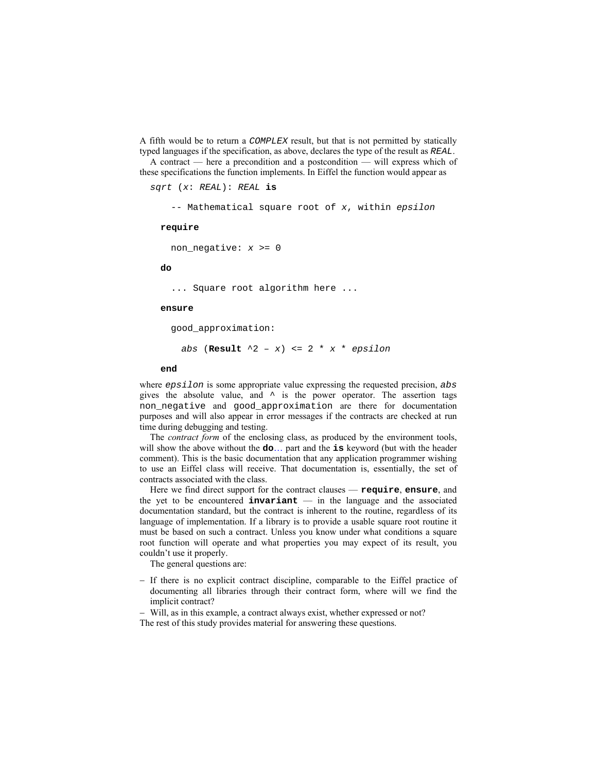A fifth would be to return a COMPLEX result, but that is not permitted by statically typed languages if the specification, as above, declares the type of the result as REAL. A contract — here a precondition and a postcondition — will express which of these specifications the function implements. In Eiffel the function would appear as

```
sqrt (x: REAL): REAL is
```
-- Mathematical square root of x, within epsilon

#### **require**

non negative:  $x \ge 0$ 

**do** 

... Square root algorithm here ...

#### **ensure**

good\_approximation:

abs (**Result**  $^2$  – x) <= 2 \* x \* epsilon

#### **end**

where epsilon is some appropriate value expressing the requested precision, abs gives the absolute value, and  $\land$  is the power operator. The assertion tags non\_negative and good\_approximation are there for documentation purposes and will also appear in error messages if the contracts are checked at run time during debugging and testing.

The *contract form* of the enclosing class, as produced by the environment tools, will show the above without the **do**… part and the **is** keyword (but with the header comment). This is the basic documentation that any application programmer wishing to use an Eiffel class will receive. That documentation is, essentially, the set of contracts associated with the class.

Here we find direct support for the contract clauses — **require**, **ensure**, and the yet to be encountered **invariant** — in the language and the associated documentation standard, but the contract is inherent to the routine, regardless of its language of implementation. If a library is to provide a usable square root routine it must be based on such a contract. Unless you know under what conditions a square root function will operate and what properties you may expect of its result, you couldn't use it properly.

The general questions are:

− If there is no explicit contract discipline, comparable to the Eiffel practice of documenting all libraries through their contract form, where will we find the implicit contract?

− Will, as in this example, a contract always exist, whether expressed or not? The rest of this study provides material for answering these questions.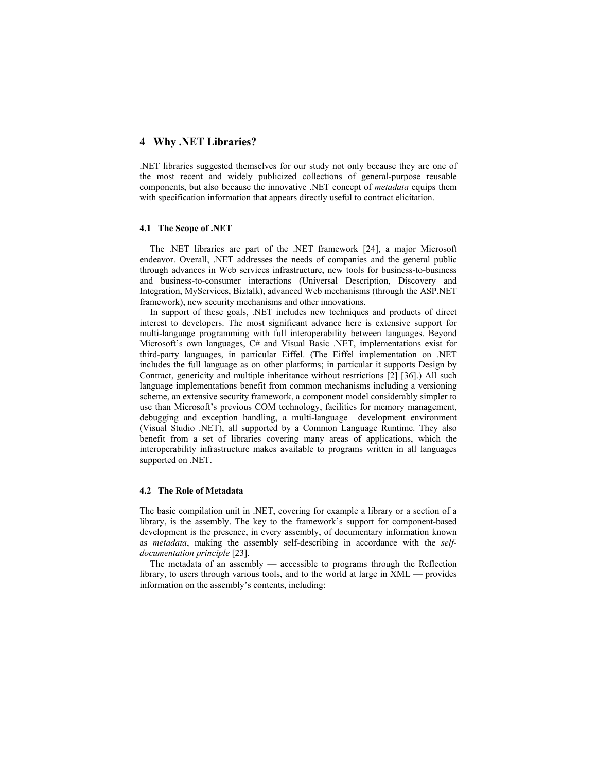# **4 Why .NET Libraries?**

.NET libraries suggested themselves for our study not only because they are one of the most recent and widely publicized collections of general-purpose reusable components, but also because the innovative .NET concept of *metadata* equips them with specification information that appears directly useful to contract elicitation.

## **4.1 The Scope of .NET**

The .NET libraries are part of the .NET framework [24], a major Microsoft endeavor. Overall, .NET addresses the needs of companies and the general public through advances in Web services infrastructure, new tools for business-to-business and business-to-consumer interactions (Universal Description, Discovery and Integration, MyServices, Biztalk), advanced Web mechanisms (through the ASP.NET framework), new security mechanisms and other innovations.

In support of these goals, .NET includes new techniques and products of direct interest to developers. The most significant advance here is extensive support for multi-language programming with full interoperability between languages. Beyond Microsoft's own languages, C# and Visual Basic .NET, implementations exist for third-party languages, in particular Eiffel. (The Eiffel implementation on .NET includes the full language as on other platforms; in particular it supports Design by Contract, genericity and multiple inheritance without restrictions [2] [36].) All such language implementations benefit from common mechanisms including a versioning scheme, an extensive security framework, a component model considerably simpler to use than Microsoft's previous COM technology, facilities for memory management, debugging and exception handling, a multi-language development environment (Visual Studio .NET), all supported by a Common Language Runtime. They also benefit from a set of libraries covering many areas of applications, which the interoperability infrastructure makes available to programs written in all languages supported on .NET.

## **4.2 The Role of Metadata**

The basic compilation unit in .NET, covering for example a library or a section of a library, is the assembly. The key to the framework's support for component-based development is the presence, in every assembly, of documentary information known as *metadata*, making the assembly self-describing in accordance with the *selfdocumentation principle* [23].

The metadata of an assembly — accessible to programs through the Reflection library, to users through various tools, and to the world at large in XML — provides information on the assembly's contents, including: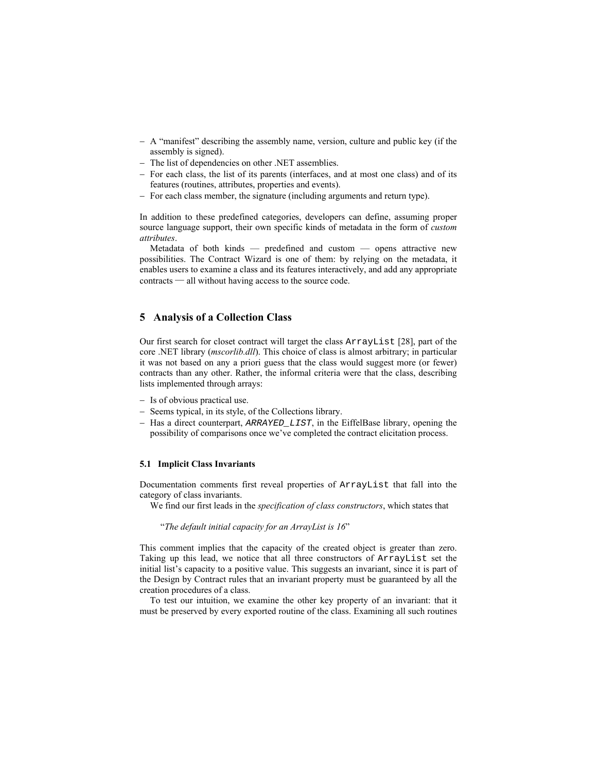- − A "manifest" describing the assembly name, version, culture and public key (if the assembly is signed).
- − The list of dependencies on other .NET assemblies.
- − For each class, the list of its parents (interfaces, and at most one class) and of its features (routines, attributes, properties and events).
- − For each class member, the signature (including arguments and return type).

In addition to these predefined categories, developers can define, assuming proper source language support, their own specific kinds of metadata in the form of *custom attributes*.

Metadata of both kinds — predefined and custom — opens attractive new possibilities. The Contract Wizard is one of them: by relying on the metadata, it enables users to examine a class and its features interactively, and add any appropriate contracts ─ all without having access to the source code.

# **5 Analysis of a Collection Class**

Our first search for closet contract will target the class ArrayList [28], part of the core .NET library (*mscorlib.dll*). This choice of class is almost arbitrary; in particular it was not based on any a priori guess that the class would suggest more (or fewer) contracts than any other. Rather, the informal criteria were that the class, describing lists implemented through arrays:

- − Is of obvious practical use.
- − Seems typical, in its style, of the Collections library.
- − Has a direct counterpart, ARRAYED\_LIST, in the EiffelBase library, opening the possibility of comparisons once we've completed the contract elicitation process.

### **5.1 Implicit Class Invariants**

Documentation comments first reveal properties of ArrayList that fall into the category of class invariants.

We find our first leads in the *specification of class constructors*, which states that

"*The default initial capacity for an ArrayList is 16*"

This comment implies that the capacity of the created object is greater than zero. Taking up this lead, we notice that all three constructors of ArrayList set the initial list's capacity to a positive value. This suggests an invariant, since it is part of the Design by Contract rules that an invariant property must be guaranteed by all the creation procedures of a class.

To test our intuition, we examine the other key property of an invariant: that it must be preserved by every exported routine of the class. Examining all such routines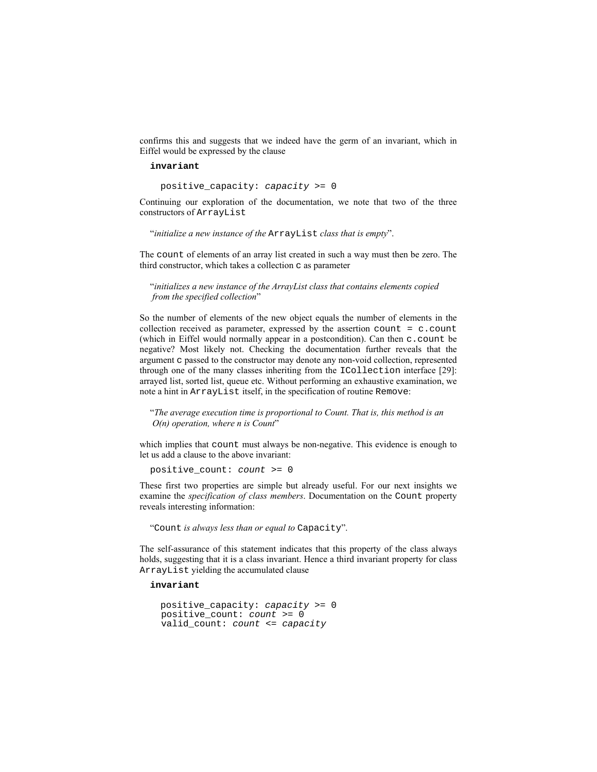confirms this and suggests that we indeed have the germ of an invariant, which in Eiffel would be expressed by the clause

#### **invariant**

```
positive_capacity: capacity >= 0
```
Continuing our exploration of the documentation, we note that two of the three constructors of ArrayList

"*initialize a new instance of the* ArrayList *class that is empty*".

The count of elements of an array list created in such a way must then be zero. The third constructor, which takes a collection c as parameter

"*initializes a new instance of the ArrayList class that contains elements copied from the specified collection*"

So the number of elements of the new object equals the number of elements in the collection received as parameter, expressed by the assertion count =  $c$ .count (which in Eiffel would normally appear in a postcondition). Can then  $c$ , count be negative? Most likely not. Checking the documentation further reveals that the argument c passed to the constructor may denote any non-void collection, represented through one of the many classes inheriting from the ICollection interface [29]: arrayed list, sorted list, queue etc. Without performing an exhaustive examination, we note a hint in ArrayList itself, in the specification of routine Remove:

"*The average execution time is proportional to Count. That is, this method is an O(n) operation, where n is Count*"

which implies that count must always be non-negative. This evidence is enough to let us add a clause to the above invariant:

positive\_count: count >= 0

These first two properties are simple but already useful. For our next insights we examine the *specification of class members*. Documentation on the Count property reveals interesting information:

"Count *is always less than or equal to* Capacity".

The self-assurance of this statement indicates that this property of the class always holds, suggesting that it is a class invariant. Hence a third invariant property for class ArrayList yielding the accumulated clause

**invariant** 

```
positive_capacity: capacity >= 0 
 positive_count: count >= 0 
valid_count: count <= capacity
```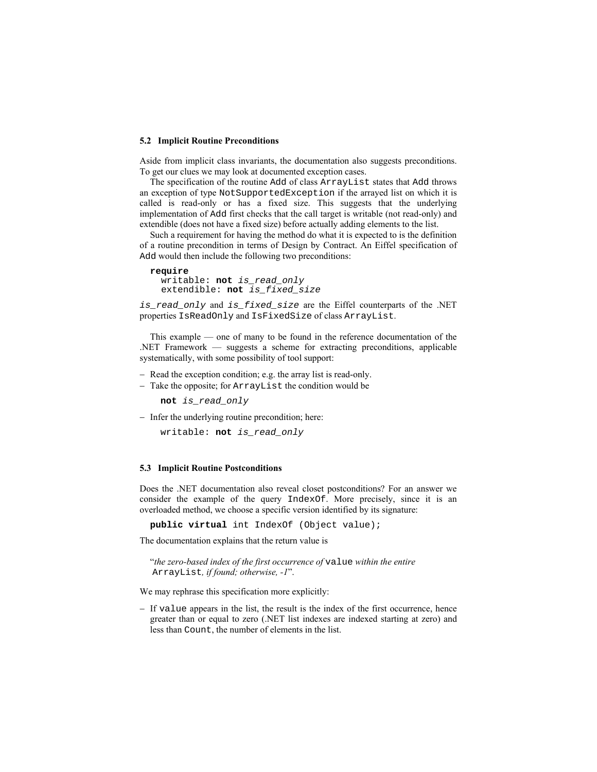#### **5.2 Implicit Routine Preconditions**

Aside from implicit class invariants, the documentation also suggests preconditions. To get our clues we may look at documented exception cases.

The specification of the routine Add of class ArrayList states that Add throws an exception of type NotSupportedException if the arrayed list on which it is called is read-only or has a fixed size. This suggests that the underlying implementation of Add first checks that the call target is writable (not read-only) and extendible (does not have a fixed size) before actually adding elements to the list.

Such a requirement for having the method do what it is expected to is the definition of a routine precondition in terms of Design by Contract. An Eiffel specification of Add would then include the following two preconditions:

```
require<br>writable: not is read only
  extendible: not is_fixed_size
```
is\_read\_only and is\_fixed\_size are the Eiffel counterparts of the .NET properties IsReadOnly and IsFixedSize of class ArrayList.

This example — one of many to be found in the reference documentation of the .NET Framework — suggests a scheme for extracting preconditions, applicable systematically, with some possibility of tool support:

- − Read the exception condition; e.g. the array list is read-only.
- − Take the opposite; for ArrayList the condition would be

**not** is\_read\_only

− Infer the underlying routine precondition; here:

writable: **not** is\_read\_only

## **5.3 Implicit Routine Postconditions**

Does the .NET documentation also reveal closet postconditions? For an answer we consider the example of the query IndexOf. More precisely, since it is an overloaded method, we choose a specific version identified by its signature:

**public virtual** int IndexOf (Object value);

The documentation explains that the return value is

"*the zero-based index of the first occurrence of* value *within the entire*  ArrayList*, if found; otherwise, -1*".

We may rephrase this specification more explicitly:

− If value appears in the list, the result is the index of the first occurrence, hence greater than or equal to zero (.NET list indexes are indexed starting at zero) and less than Count, the number of elements in the list.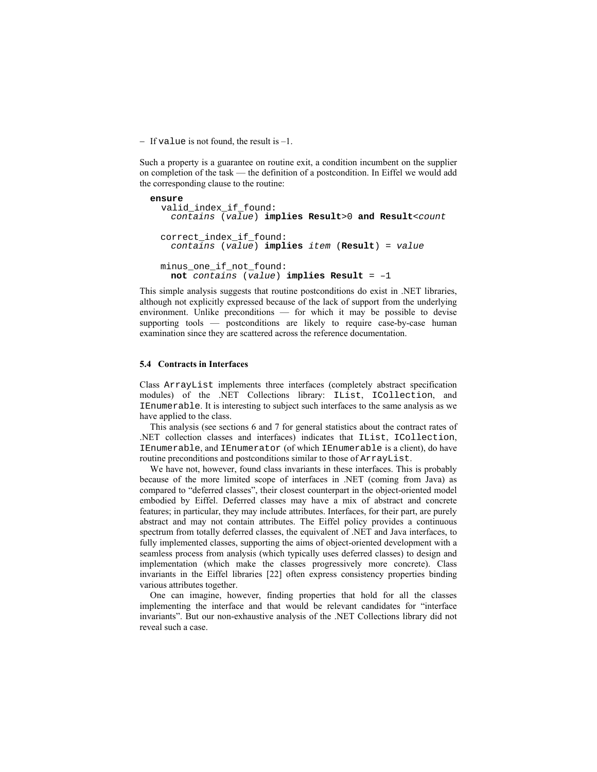− If value is not found, the result is –1.

Such a property is a guarantee on routine exit, a condition incumbent on the supplier on completion of the task — the definition of a postcondition. In Eiffel we would add the corresponding clause to the routine:

```
ensure 
 valid_index_if_found:
   contains (value) implies Result>0 and Result<count
 correct_index_if_found: 
   contains (value) implies item (Result) = value
 minus_one_if_not_found: 
   not contains (value) implies Result = –1
```
This simple analysis suggests that routine postconditions do exist in .NET libraries, although not explicitly expressed because of the lack of support from the underlying environment. Unlike preconditions — for which it may be possible to devise supporting tools — postconditions are likely to require case-by-case human examination since they are scattered across the reference documentation.

## **5.4 Contracts in Interfaces**

Class ArrayList implements three interfaces (completely abstract specification modules) of the .NET Collections library: IList, ICollection, and IEnumerable. It is interesting to subject such interfaces to the same analysis as we have applied to the class.

This analysis (see sections 6 and 7 for general statistics about the contract rates of .NET collection classes and interfaces) indicates that IList, ICollection, IEnumerable, and IEnumerator (of which IEnumerable is a client), do have routine preconditions and postconditions similar to those of ArrayList.

We have not, however, found class invariants in these interfaces. This is probably because of the more limited scope of interfaces in .NET (coming from Java) as compared to "deferred classes", their closest counterpart in the object-oriented model embodied by Eiffel. Deferred classes may have a mix of abstract and concrete features; in particular, they may include attributes. Interfaces, for their part, are purely abstract and may not contain attributes. The Eiffel policy provides a continuous spectrum from totally deferred classes, the equivalent of .NET and Java interfaces, to fully implemented classes, supporting the aims of object-oriented development with a seamless process from analysis (which typically uses deferred classes) to design and implementation (which make the classes progressively more concrete). Class invariants in the Eiffel libraries [22] often express consistency properties binding various attributes together.

One can imagine, however, finding properties that hold for all the classes implementing the interface and that would be relevant candidates for "interface invariants". But our non-exhaustive analysis of the .NET Collections library did not reveal such a case.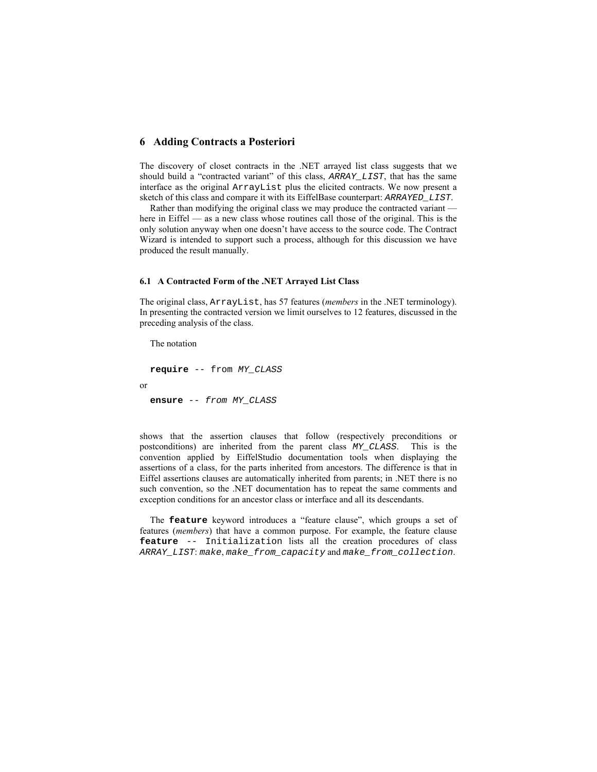# **6 Adding Contracts a Posteriori**

The discovery of closet contracts in the .NET arrayed list class suggests that we should build a "contracted variant" of this class, ARRAY\_LIST, that has the same interface as the original ArrayList plus the elicited contracts. We now present a sketch of this class and compare it with its EiffelBase counterpart: ARRAYED\_LIST.

Rather than modifying the original class we may produce the contracted variant here in Eiffel — as a new class whose routines call those of the original. This is the only solution anyway when one doesn't have access to the source code. The Contract Wizard is intended to support such a process, although for this discussion we have produced the result manually.

## **6.1 A Contracted Form of the .NET Arrayed List Class**

The original class, ArrayList, has 57 features (*members* in the .NET terminology). In presenting the contracted version we limit ourselves to 12 features, discussed in the preceding analysis of the class.

The notation

```
require -- from MY_CLASS
or 
  ensure -- from MY_CLASS
```
shows that the assertion clauses that follow (respectively preconditions or postconditions) are inherited from the parent class MY\_CLASS. This is the convention applied by EiffelStudio documentation tools when displaying the assertions of a class, for the parts inherited from ancestors. The difference is that in Eiffel assertions clauses are automatically inherited from parents; in .NET there is no such convention, so the .NET documentation has to repeat the same comments and exception conditions for an ancestor class or interface and all its descendants.

The **feature** keyword introduces a "feature clause", which groups a set of features (*members*) that have a common purpose. For example, the feature clause **feature** -- Initialization lists all the creation procedures of class ARRAY\_LIST: make, make\_from\_capacity and make\_from\_collection.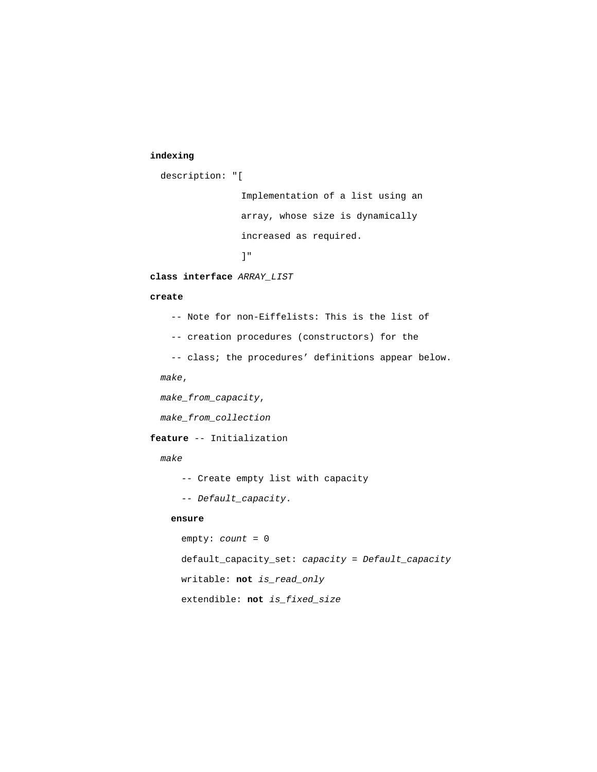# **indexing**

```
description: "[
```
 Implementation of a list using an array, whose size is dynamically increased as required.

]"

```
class interface ARRAY_LIST
```
### **create**

-- Note for non-Eiffelists: This is the list of

-- creation procedures (constructors) for the

-- class; the procedures' definitions appear below. make,

make\_from\_capacity,

make\_from\_collection

```
feature -- Initialization
```
make

-- Create empty list with capacity

-- Default\_capacity.

## **ensure**

```
empty: count = 0 
default_capacity_set: capacity = Default_capacity
writable: not is_read_only 
extendible: not is_fixed_size
```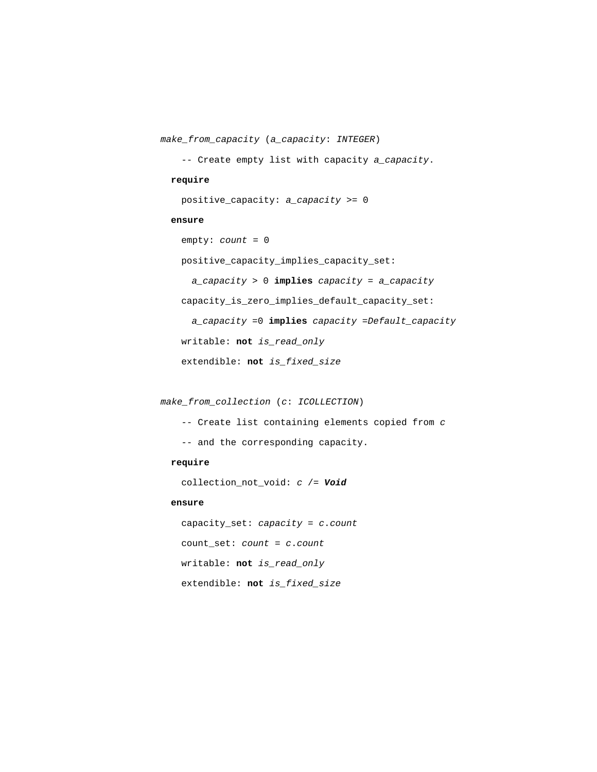```
make_from_capacity (a_capacity: INTEGER) 
    -- Create empty list with capacity a_capacity. 
 require 
   positive_capacity: a_capacity >= 0 
  ensure 
   empty: count = 0 
   positive_capacity_implies_capacity_set: 
     a_capacity > 0 implies capacity = a_capacity
   capacity_is_zero_implies_default_capacity_set: 
     a_capacity =0 implies capacity =Default_capacity
   writable: not is_read_only 
    extendible: not is_fixed_size
```
make\_from\_collection (c: ICOLLECTION)

-- Create list containing elements copied from c -- and the corresponding capacity.

### **require**

collection\_not\_void: c /= **Void**

## **ensure**

capacity\_set:  $capacity = c.count$ count\_set: count = c.count writable: **not** is\_read\_only extendible: **not** is\_fixed\_size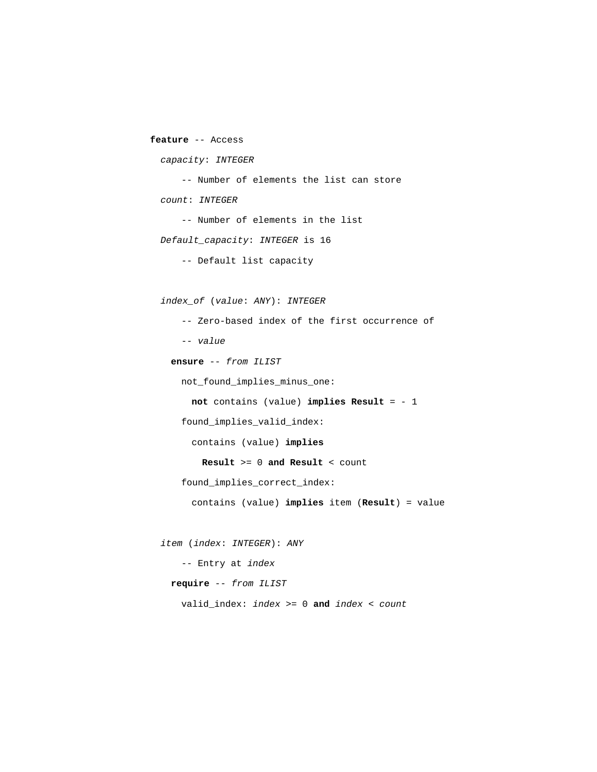```
feature -- Access
```
capacity: INTEGER

```
-- Number of elements the list can store 
count: INTEGER
```
-- Number of elements in the list

Default\_capacity: INTEGER is 16

-- Default list capacity

```
index_of (value: ANY): INTEGER
```
-- Zero-based index of the first occurrence of -- value

**ensure** -- from ILIST

not\_found\_implies\_minus\_one:

**not** contains (value) **implies Result** = - 1

found\_implies\_valid\_index:

contains (value) **implies** 

**Result** >= 0 **and Result** < count

found\_implies\_correct\_index:

contains (value) **implies** item (**Result**) = value

item (index: INTEGER): ANY -- Entry at index **require** -- from ILIST valid\_index: index >= 0 **and** index < count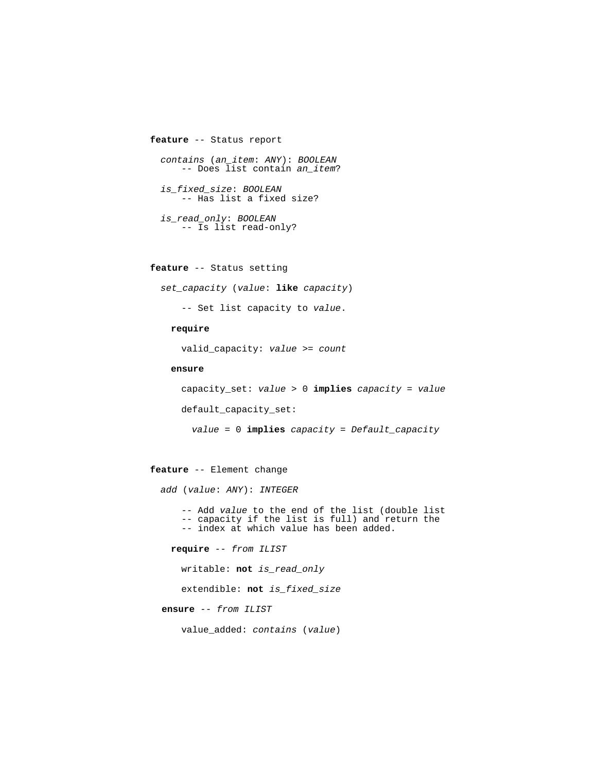**feature** -- Status report

contains (an\_item: ANY): BOOLEAN -- Does list contain an\_item?

is\_fixed\_size: BOOLEAN -- Has list a fixed size?

is\_read\_only: BOOLEAN -- Is list read-only?

**feature** -- Status setting

set\_capacity (value: **like** capacity)

-- Set list capacity to value.

**require** 

valid\_capacity: value >= count

**ensure** 

capacity\_set: value > 0 **implies** capacity = value

default\_capacity\_set:

value = 0 **implies** capacity = Default\_capacity

**feature** -- Element change

add (value: ANY): INTEGER

-- Add value to the end of the list (double list -- capacity if the list is full) and return the -- index at which value has been added.

**require** -- from ILIST

writable: **not** is\_read\_only

extendible: **not** is\_fixed\_size

 **ensure** -- from ILIST

value\_added: contains (value)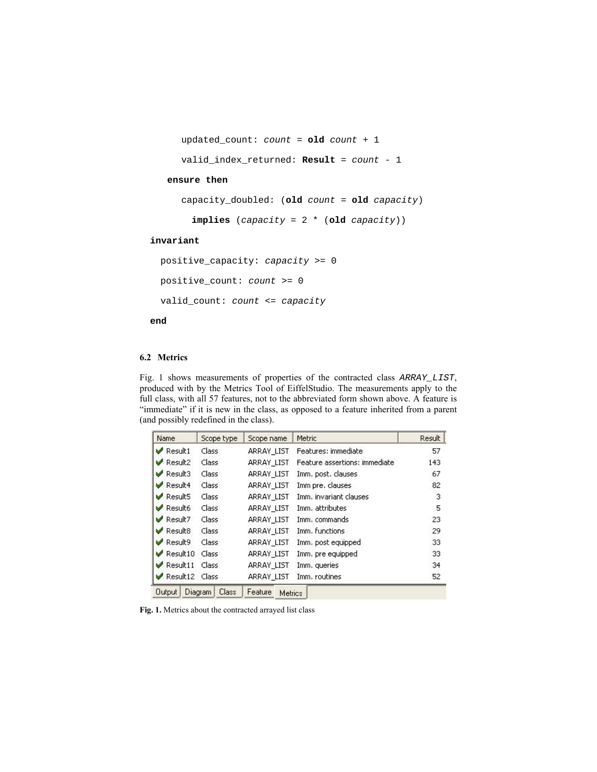```
updated_count: count = old count + 1
```
valid\_index\_returned: **Result** = count - 1

#### **ensure then**

capacity\_doubled: (**old** count = **old** capacity)

**implies** (capacity = 2 \* (**old** capacity))

## **invariant**

positive\_capacity: capacity >= 0 positive\_count: count >= 0 valid\_count: count <= capacity

**end** 

### **6.2 Metrics**

Fig. 1 shows measurements of properties of the contracted class ARRAY\_LIST, produced with by the Metrics Tool of EiffelStudio. The measurements apply to the full class, with all 57 features, not to the abbreviated form shown above. A feature is "immediate" if it is new in the class, as opposed to a feature inherited from a parent (and possibly redefined in the class).

| <b>Name</b><br>Scope type  |       | Scope name | Metric                        | Result |  |
|----------------------------|-------|------------|-------------------------------|--------|--|
| $\vee$ Result1             | Class | ARRAY LIST | Features: immediate           | 57     |  |
| $\vee$ Result <sub>2</sub> | Class | ARRAY LIST | Feature assertions: immediate | 143    |  |
| $\vee$ Result3             | Class | ARRAY LIST | Imm. post. clauses            | 67     |  |
| Result4                    | Class | ARRAY LIST | Imm pre, clauses              | 82     |  |
| Result5                    | Class | ARRAY LIST | Imm. invariant clauses        | 3      |  |
| Result6                    | Class | ARRAY LIST | Imm. attributes               | 5      |  |
| $\vee$ Result7             | Class | ARRAY LIST | Imm. commands                 | 23     |  |
| Result <sub>8</sub>        | Class | ARRAY LIST | Imm. functions                | 29     |  |
| Result9                    | Class | ARRAY LIST | Imm. post equipped            | 33     |  |
| $\vee$ Result10            | Class | ARRAY LIST | Imm, pre equipped             | 33     |  |
| $\vee$ Result11            | Class | ARRAY LIST | Imm. queries                  | 34     |  |
| Result12 Class             |       | ARRAY LIST | Imm. routines                 | 52     |  |

**Fig. 1.** Metrics about the contracted arrayed list class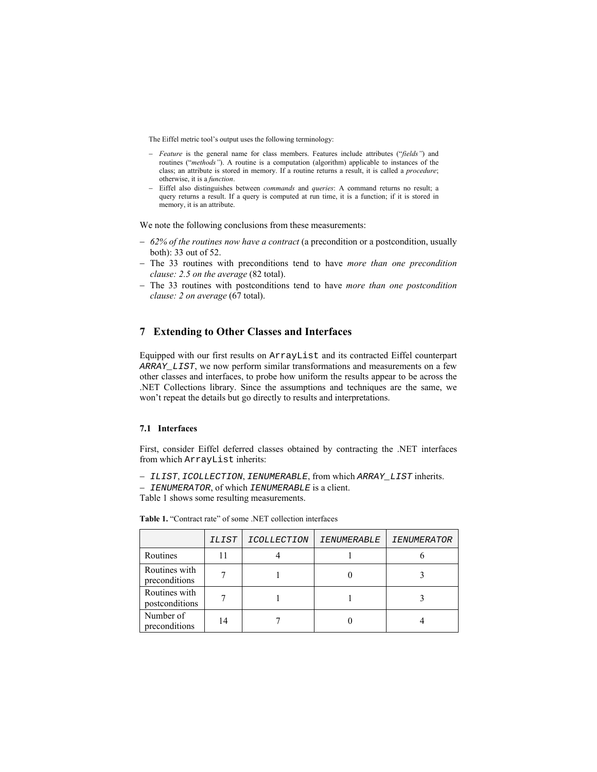The Eiffel metric tool's output uses the following terminology:

- − *Feature* is the general name for class members. Features include attributes ("*fields"*) and routines ("*methods"*). A routine is a computation (algorithm) applicable to instances of the class; an attribute is stored in memory. If a routine returns a result, it is called a *procedure*; otherwise, it is a *function*.
- − Eiffel also distinguishes between *commands* and *queries*: A command returns no result; a query returns a result. If a query is computed at run time, it is a function; if it is stored in memory, it is an attribute.

We note the following conclusions from these measurements:

- − *62% of the routines now have a contract* (a precondition or a postcondition, usually both): 33 out of 52.
- − The 33 routines with preconditions tend to have *more than one precondition clause: 2.5 on the average* (82 total).
- − The 33 routines with postconditions tend to have *more than one postcondition clause: 2 on average* (67 total).

## **7 Extending to Other Classes and Interfaces**

Equipped with our first results on ArrayList and its contracted Eiffel counterpart ARRAY\_LIST, we now perform similar transformations and measurements on a few other classes and interfaces, to probe how uniform the results appear to be across the .NET Collections library. Since the assumptions and techniques are the same, we won't repeat the details but go directly to results and interpretations.

## **7.1 Interfaces**

First, consider Eiffel deferred classes obtained by contracting the .NET interfaces from which ArrayList inherits:

− ILIST, ICOLLECTION, IENUMERABLE, from which ARRAY\_LIST inherits.

− IENUMERATOR, of which IENUMERABLE is a client.

Table 1 shows some resulting measurements.

|                                 | <i>ILIST</i> | <i>ICOLLECTION</i> | IENUMERABLE | <i>IENUMERATOR</i> |
|---------------------------------|--------------|--------------------|-------------|--------------------|
| Routines                        |              |                    |             | O                  |
| Routines with<br>preconditions  |              |                    |             |                    |
| Routines with<br>postconditions |              |                    |             |                    |
| Number of<br>preconditions      | 14           |                    |             |                    |

**Table 1.** "Contract rate" of some .NET collection interfaces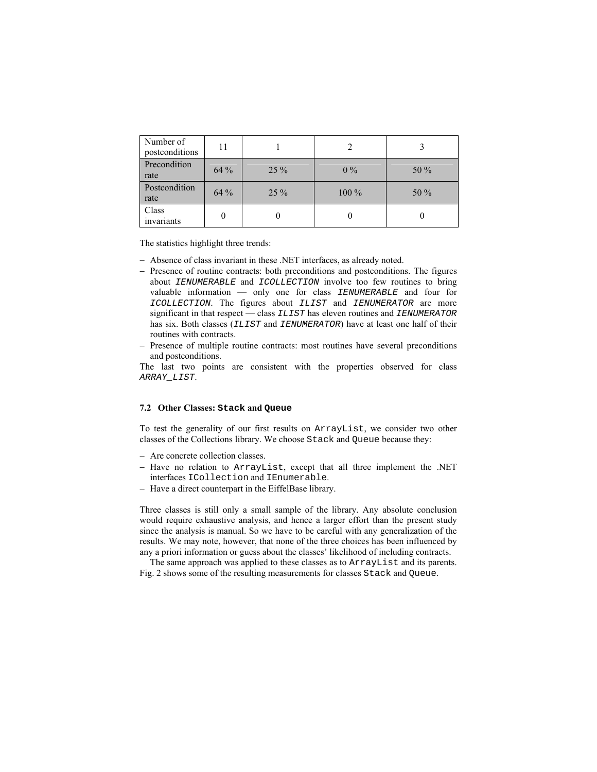| Number of<br>postconditions | 11   |        |         |        |
|-----------------------------|------|--------|---------|--------|
| Precondition<br>rate        | 64 % | $25\%$ | $0\%$   | 50 $%$ |
| Postcondition<br>rate       | 64%  | $25\%$ | $100\%$ | 50 $%$ |
| Class<br>invariants         |      |        |         |        |

The statistics highlight three trends:

- − Absence of class invariant in these .NET interfaces, as already noted.
- − Presence of routine contracts: both preconditions and postconditions. The figures about IENUMERABLE and ICOLLECTION involve too few routines to bring valuable information — only one for class IENUMERABLE and four for ICOLLECTION. The figures about ILIST and IENUMERATOR are more significant in that respect — class ILIST has eleven routines and IENUMERATOR has six. Both classes (ILIST and IENUMERATOR) have at least one half of their routines with contracts.
- − Presence of multiple routine contracts: most routines have several preconditions and postconditions.

The last two points are consistent with the properties observed for class ARRAY\_LIST.

## **7.2 Other Classes: Stack and Queue**

To test the generality of our first results on ArrayList, we consider two other classes of the Collections library. We choose Stack and Queue because they:

- − Are concrete collection classes.
- − Have no relation to ArrayList, except that all three implement the .NET interfaces ICollection and IEnumerable.
- − Have a direct counterpart in the EiffelBase library.

Three classes is still only a small sample of the library. Any absolute conclusion would require exhaustive analysis, and hence a larger effort than the present study since the analysis is manual. So we have to be careful with any generalization of the results. We may note, however, that none of the three choices has been influenced by any a priori information or guess about the classes' likelihood of including contracts.

The same approach was applied to these classes as to ArrayList and its parents. Fig. 2 shows some of the resulting measurements for classes Stack and Queue.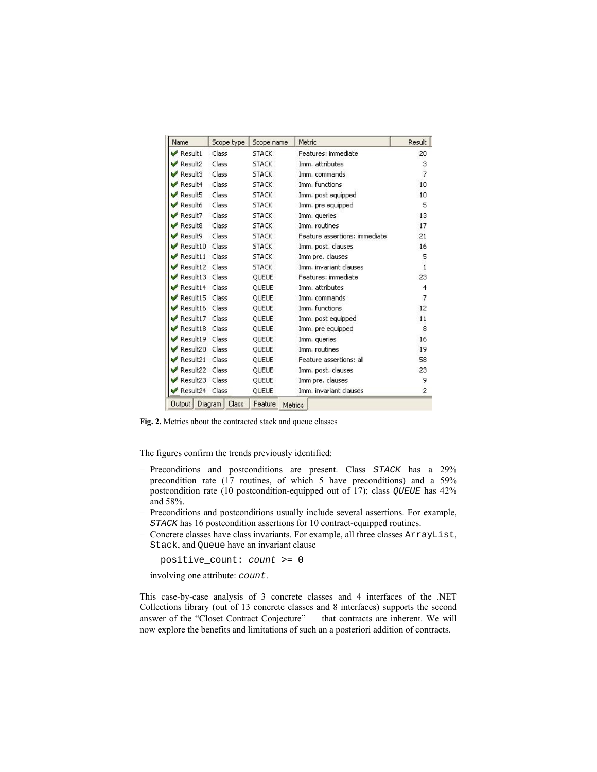| Name                | Scope type | Scope name   | Metric                        | Result         |
|---------------------|------------|--------------|-------------------------------|----------------|
| $\vee$ Result1      | Class      | STACK.       | Features: immediate           | 20             |
| Result <sub>2</sub> | Class      | <b>STACK</b> | Imm. attributes               | 3              |
| Result3             | Class      | <b>STACK</b> | Imm. commands                 | $\overline{7}$ |
| Result4             | Class      | <b>STACK</b> | Imm. functions                | 10             |
| Result5             | Class      | <b>STACK</b> | Imm. post equipped            | 10             |
| Result6             | Class      | <b>STACK</b> | Imm. pre equipped             | 5              |
| Result7             | Class      | <b>STACK</b> | Imm. queries                  | 13             |
| Result <sub>8</sub> | Class      | <b>STACK</b> | Imm. routines                 | 17             |
| Result9             | Class      | STACK.       | Feature assertions: immediate | 21             |
| Result10            | Class      | <b>STACK</b> | Imm. post. clauses            | 16             |
| Result11            | Class      | <b>STACK</b> | Imm pre. clauses              | 5              |
| Result12            | Class      | <b>STACK</b> | Imm. invariant clauses        | $\mathbf{1}$   |
| Result13            | Class      | <b>QUEUE</b> | Features: immediate           | 23             |
| Result14            | Class      | <b>OUEUE</b> | Imm. attributes               | 4              |
| Result15<br>v       | Class      | OUEUE        | Imm. commands                 | 7              |
| Result16<br>V       | Class      | <b>OUEUE</b> | Imm. functions                | 12             |
| Result17            | Class      | QUEUE        | Imm. post equipped.           | 11             |
| Result18            | Class      | QUEUE        | Imm. pre equipped             | 8              |
| Result19<br>ν       | Class      | <b>OUEUE</b> | Imm. queries                  | 16             |
| Result20<br>v       | Class      | <b>OUEUE</b> | Imm. routines                 | 19             |
| Result21            | Class      | QUEUE        | Feature assertions: all       | 58             |
| Result22            | Class      | QUEUE        | Imm. post. clauses            | 23             |
| Result23            | Class      | QUEUE        | Imm pre. clauses              | 9              |
| Result24            | Class      | QUEUE        | Imm, invariant clauses        | 2              |

**Fig. 2.** Metrics about the contracted stack and queue classes

The figures confirm the trends previously identified:

- − Preconditions and postconditions are present. Class STACK has a 29% precondition rate (17 routines, of which 5 have preconditions) and a 59% postcondition rate (10 postcondition-equipped out of 17); class QUEUE has 42% and 58%.
- − Preconditions and postconditions usually include several assertions. For example, STACK has 16 postcondition assertions for 10 contract-equipped routines.
- − Concrete classes have class invariants. For example, all three classes ArrayList, Stack, and Queue have an invariant clause

positive\_count: count >= 0

involving one attribute: count.

This case-by-case analysis of 3 concrete classes and 4 interfaces of the .NET Collections library (out of 13 concrete classes and 8 interfaces) supports the second answer of the "Closet Contract Conjecture" ─ that contracts are inherent. We will now explore the benefits and limitations of such an a posteriori addition of contracts.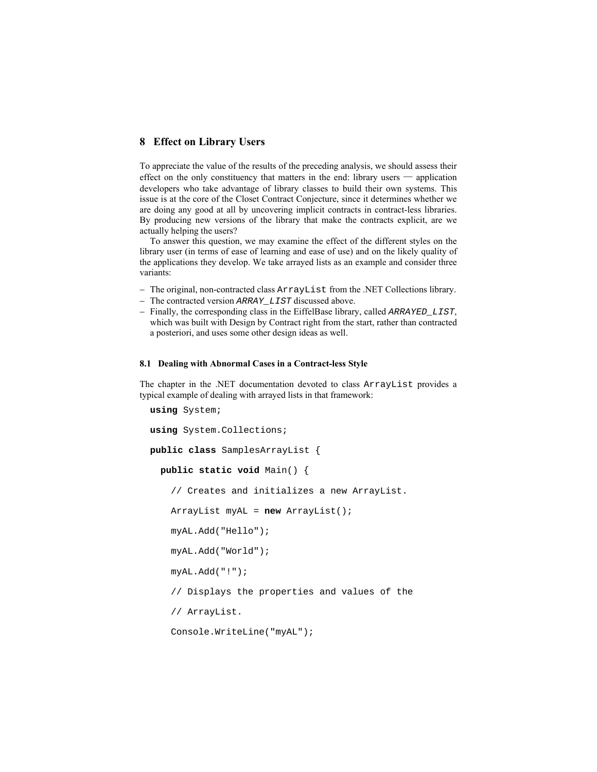# **8 Effect on Library Users**

To appreciate the value of the results of the preceding analysis, we should assess their effect on the only constituency that matters in the end: library users — application developers who take advantage of library classes to build their own systems. This issue is at the core of the Closet Contract Conjecture, since it determines whether we are doing any good at all by uncovering implicit contracts in contract-less libraries. By producing new versions of the library that make the contracts explicit, are we actually helping the users?

To answer this question, we may examine the effect of the different styles on the library user (in terms of ease of learning and ease of use) and on the likely quality of the applications they develop. We take arrayed lists as an example and consider three variants:

- − The original, non-contracted class ArrayList from the .NET Collections library.
- − The contracted version ARRAY\_LIST discussed above.
- − Finally, the corresponding class in the EiffelBase library, called ARRAYED\_LIST, which was built with Design by Contract right from the start, rather than contracted a posteriori, and uses some other design ideas as well.

#### **8.1 Dealing with Abnormal Cases in a Contract-less Style**

The chapter in the .NET documentation devoted to class ArrayList provides a typical example of dealing with arrayed lists in that framework:

```
using System; 
using System.Collections; 
public class SamplesArrayList { 
 public static void Main() { 
    // Creates and initializes a new ArrayList. 
    ArrayList myAL = new ArrayList(); 
   myAL.Add("Hello"); 
   myAL.Add("World"); 
   myAL.Add('!!");
    // Displays the properties and values of the 
    // ArrayList. 
    Console.WriteLine("myAL");
```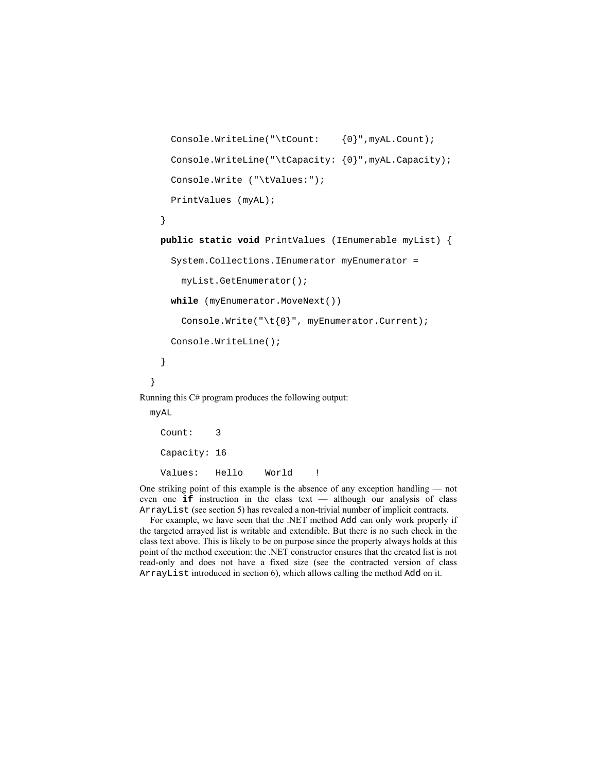```
Console.WriteLine("\tCount: {0}",myAL.Count); 
   Console.WriteLine("\tCapacity: {0}",myAL.Capacity); 
   Console.Write ("\tValues:"); 
   PrintValues (myAL); 
 } 
 public static void PrintValues (IEnumerable myList) { 
   System.Collections.IEnumerator myEnumerator = 
     myList.GetEnumerator(); 
   while (myEnumerator.MoveNext()) 
     Console.Write("\t{0}", myEnumerator.Current); 
   Console.WriteLine(); 
 } 
}
```
Running this C# program produces the following output:

myAL

```
Count: 3 
Capacity: 16 
Values: Hello World !
```
One striking point of this example is the absence of any exception handling — not even one **if** instruction in the class text — although our analysis of class ArrayList (see section 5) has revealed a non-trivial number of implicit contracts.

For example, we have seen that the .NET method Add can only work properly if the targeted arrayed list is writable and extendible. But there is no such check in the class text above. This is likely to be on purpose since the property always holds at this point of the method execution: the .NET constructor ensures that the created list is not read-only and does not have a fixed size (see the contracted version of class ArrayList introduced in section 6), which allows calling the method Add on it.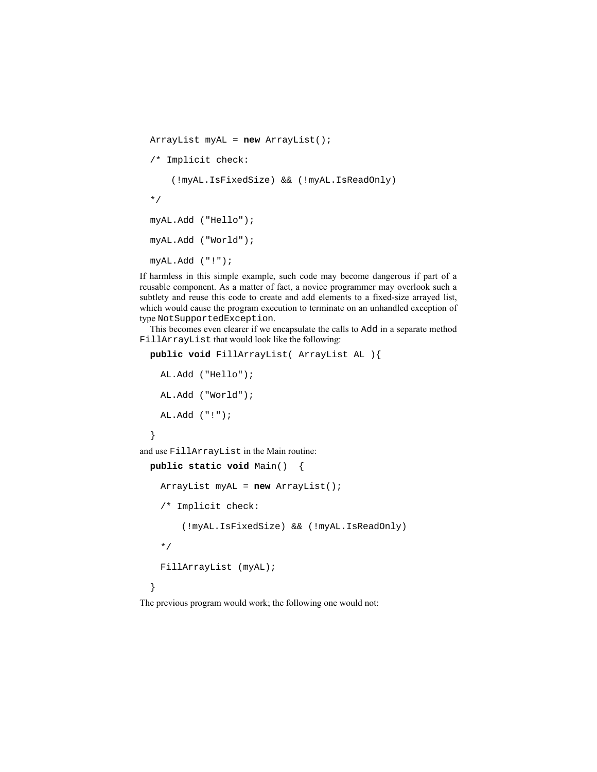```
ArrayList myAL = new ArrayList(); 
/* Implicit check: 
    (!myAL.IsFixedSize) && (!myAL.IsReadOnly) 
*/ 
myAL.Add ("Hello"); 
myAL.Add ("World"); 
myAL.Add ("!");
```
If harmless in this simple example, such code may become dangerous if part of a reusable component. As a matter of fact, a novice programmer may overlook such a subtlety and reuse this code to create and add elements to a fixed-size arrayed list, which would cause the program execution to terminate on an unhandled exception of type NotSupportedException.

This becomes even clearer if we encapsulate the calls to Add in a separate method FillArrayList that would look like the following:

```
public void FillArrayList( ArrayList AL ){ 
   AL.Add ("Hello"); 
   AL.Add ("World"); 
   AL.Add ("!"); 
  } 
and use FillArrayList in the Main routine: 
  public static void Main() { 
   ArrayList myAL = new ArrayList(); 
    /* Implicit check: 
        (!myAL.IsFixedSize) && (!myAL.IsReadOnly) 
    */ 
   FillArrayList (myAL); 
  }
```
The previous program would work; the following one would not: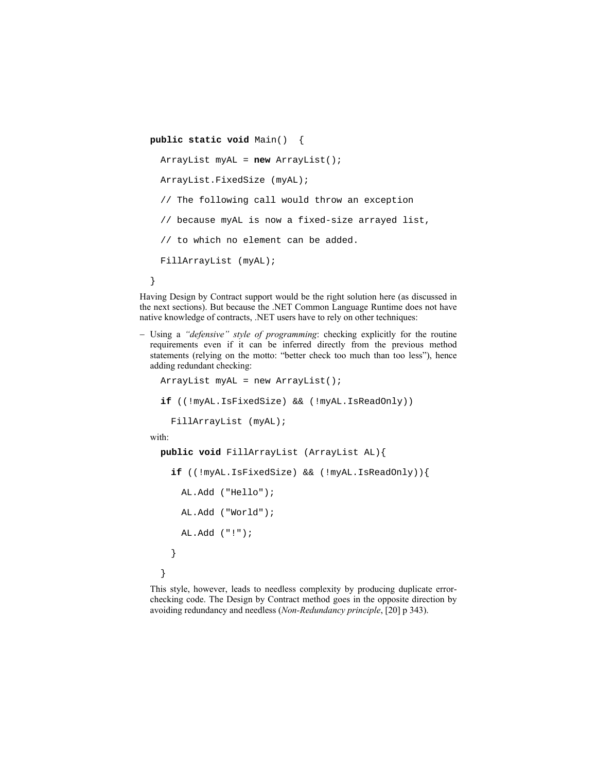```
public static void Main() { 
 ArrayList myAL = new ArrayList(); 
 ArrayList.FixedSize (myAL); 
  // The following call would throw an exception 
  // because myAL is now a fixed-size arrayed list, 
  // to which no element can be added. 
 FillArrayList (myAL); 
}
```
Having Design by Contract support would be the right solution here (as discussed in the next sections). But because the .NET Common Language Runtime does not have native knowledge of contracts, .NET users have to rely on other techniques:

− Using a *"defensive" style of programming*: checking explicitly for the routine requirements even if it can be inferred directly from the previous method statements (relying on the motto: "better check too much than too less"), hence adding redundant checking:

```
ArrayList myAL = new ArrayList(); 
 if ((!myAL.IsFixedSize) && (!myAL.IsReadOnly)) 
   FillArrayList (myAL); 
with: 
 public void FillArrayList (ArrayList AL){ 
   if ((!myAL.IsFixedSize) && (!myAL.IsReadOnly)){ 
     AL.Add ("Hello"); 
     AL.Add ("World"); 
     AL.Add ("!");
```
}

}

This style, however, leads to needless complexity by producing duplicate errorchecking code. The Design by Contract method goes in the opposite direction by avoiding redundancy and needless (*Non-Redundancy principle*, [20] p 343).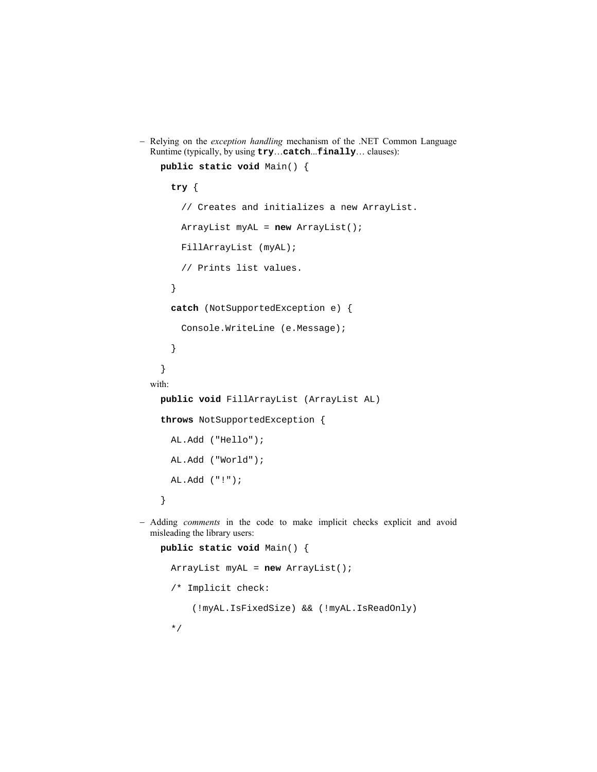− Relying on the *exception handling* mechanism of the .NET Common Language Runtime (typically, by using **try**…**catch**...**finally**… clauses):

```
public static void Main() { 
    try { 
      // Creates and initializes a new ArrayList. 
      ArrayList myAL = new ArrayList(); 
      FillArrayList (myAL); 
      // Prints list values. 
    } 
    catch (NotSupportedException e) { 
      Console.WriteLine (e.Message); 
    } 
  } 
with: 
 public void FillArrayList (ArrayList AL) 
  throws NotSupportedException { 
   AL.Add ("Hello"); 
   AL.Add ("World"); 
   AL.Add ("!"); 
  }
```
− Adding *comments* in the code to make implicit checks explicit and avoid misleading the library users:

```
public static void Main() { 
  ArrayList myAL = new ArrayList(); 
  /* Implicit check: 
      (!myAL.IsFixedSize) && (!myAL.IsReadOnly) 
  */
```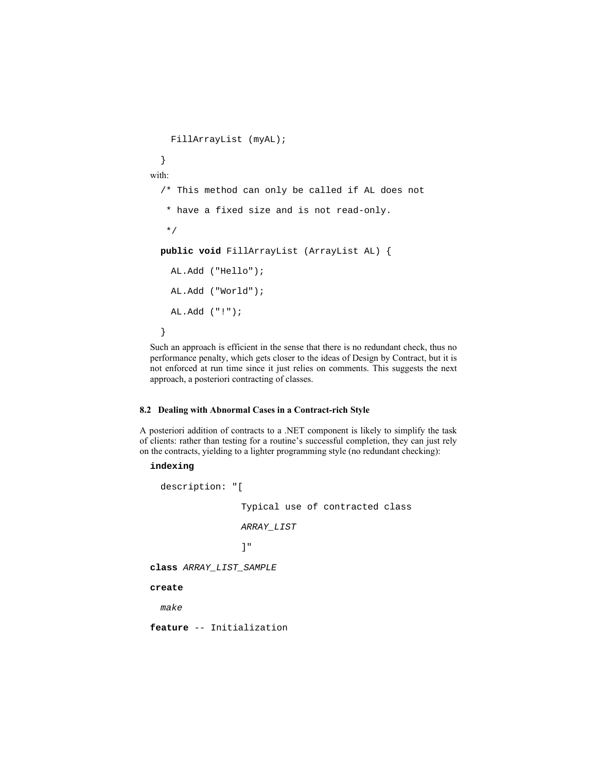```
FillArrayList (myAL); 
  } 
with: 
  /* This method can only be called if AL does not 
    * have a fixed size and is not read-only. 
    */ 
 public void FillArrayList (ArrayList AL) { 
   AL.Add ("Hello"); 
   AL.Add ("World"); 
   AL.Add ("!"); 
  }
```
Such an approach is efficient in the sense that there is no redundant check, thus no performance penalty, which gets closer to the ideas of Design by Contract, but it is not enforced at run time since it just relies on comments. This suggests the next approach, a posteriori contracting of classes.

## **8.2 Dealing with Abnormal Cases in a Contract-rich Style**

A posteriori addition of contracts to a .NET component is likely to simplify the task of clients: rather than testing for a routine's successful completion, they can just rely on the contracts, yielding to a lighter programming style (no redundant checking):

## **indexing**

```
description: "[ 
                 Typical use of contracted class 
                 ARRAY_LIST
 ]" 
class ARRAY_LIST_SAMPLE 
create 
 make 
feature -- Initialization
```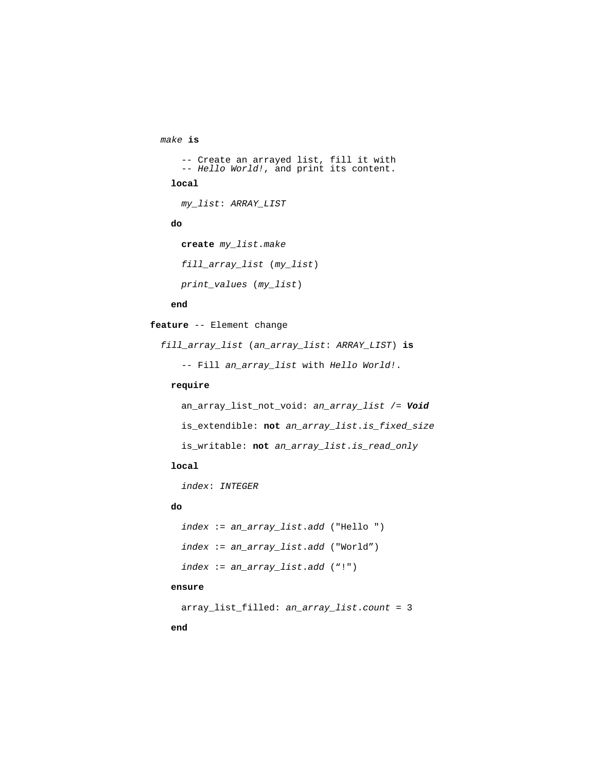make **is**

-- Create an arrayed list, fill it with -- Hello World!, and print its content.

## **local**

my\_list: ARRAY\_LIST

**do** 

```
create my_list.make
fill_array_list (my_list)
```
print\_values (my\_list)

**end** 

```
feature -- Element change
```

```
fill_array_list (an_array_list: ARRAY_LIST) is
```
-- Fill an\_array\_list with Hello World!.

## **require**

an\_array\_list\_not\_void: an\_array\_list /= **Void** is\_extendible: **not** an\_array\_list.is\_fixed\_size is\_writable: **not** an\_array\_list.is\_read\_only

## **local**

index: INTEGER

#### **do**

```
index := an_array_list.add ("Hello ") 
index := an_array_list.add ("World") 
index := an_array_list.add ("!")
```
## **ensure**

array\_list\_filled: an\_array\_list.count = 3

#### **end**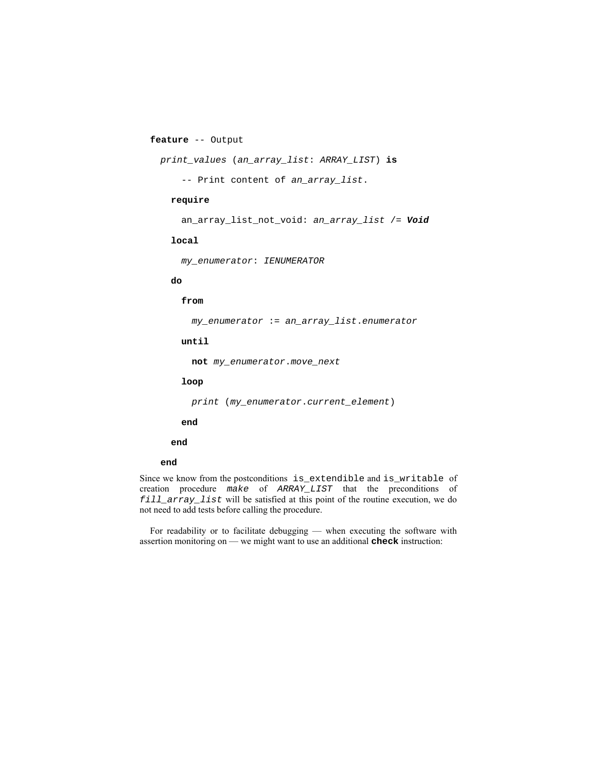# **feature** -- Output

print\_values (an\_array\_list: ARRAY\_LIST) **is**

-- Print content of an\_array\_list.

#### **require**

an\_array\_list\_not\_void: an\_array\_list /= **Void**

### **local**

my\_enumerator: IENUMERATOR

## **do**

## **from**

my\_enumerator := an\_array\_list.enumerator

#### **until**

**not** my\_enumerator.move\_next

## **loop**

print (my\_enumerator.current\_element)

**end** 

### **end**

#### **end**

Since we know from the postconditions is\_extendible and is\_writable of creation procedure make of ARRAY\_LIST that the preconditions of fill\_array\_list will be satisfied at this point of the routine execution, we do not need to add tests before calling the procedure.

For readability or to facilitate debugging — when executing the software with assertion monitoring on — we might want to use an additional **check** instruction: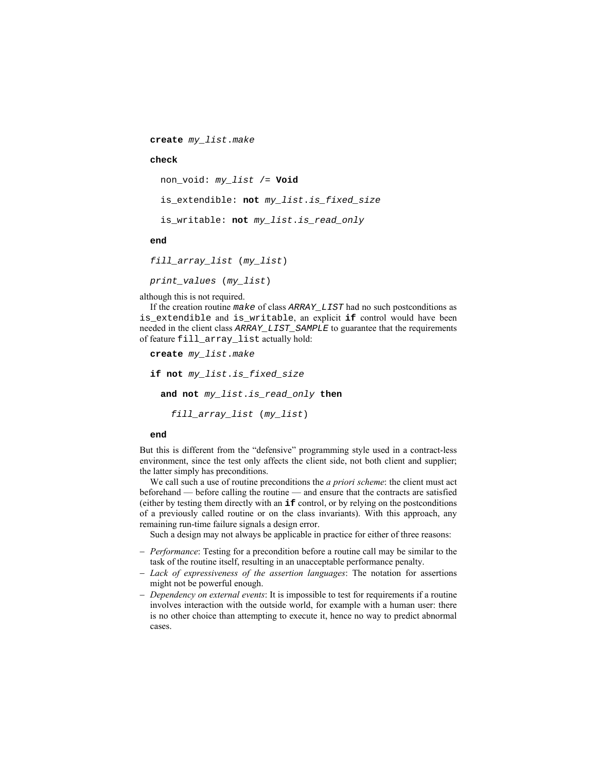**create** my\_list.make

#### **check**

```
non_void: my_list /= Void
```
is\_extendible: **not** my\_list.is\_fixed\_size

is\_writable: **not** my\_list.is\_read\_only

#### **end**

```
fill_array_list (my_list)
```

```
print values (my list)
```
although this is not required.

If the creation routine make of class ARRAY\_LIST had no such postconditions as is\_extendible and is\_writable, an explicit **if** control would have been needed in the client class ARRAY\_LIST\_SAMPLE to guarantee that the requirements of feature fill\_array\_list actually hold:

```
create my_list.make
if not my_list.is_fixed_size 
 and not my_list.is_read_only then
   fill_array_list (my_list)
```
## **end**

But this is different from the "defensive" programming style used in a contract-less environment, since the test only affects the client side, not both client and supplier; the latter simply has preconditions.

We call such a use of routine preconditions the *a priori scheme*: the client must act beforehand — before calling the routine — and ensure that the contracts are satisfied (either by testing them directly with an **if** control, or by relying on the postconditions of a previously called routine or on the class invariants). With this approach, any remaining run-time failure signals a design error.

Such a design may not always be applicable in practice for either of three reasons:

- − *Performance*: Testing for a precondition before a routine call may be similar to the task of the routine itself, resulting in an unacceptable performance penalty.
- − *Lack of expressiveness of the assertion languages*: The notation for assertions might not be powerful enough.
- − *Dependency on external events*: It is impossible to test for requirements if a routine involves interaction with the outside world, for example with a human user: there is no other choice than attempting to execute it, hence no way to predict abnormal cases.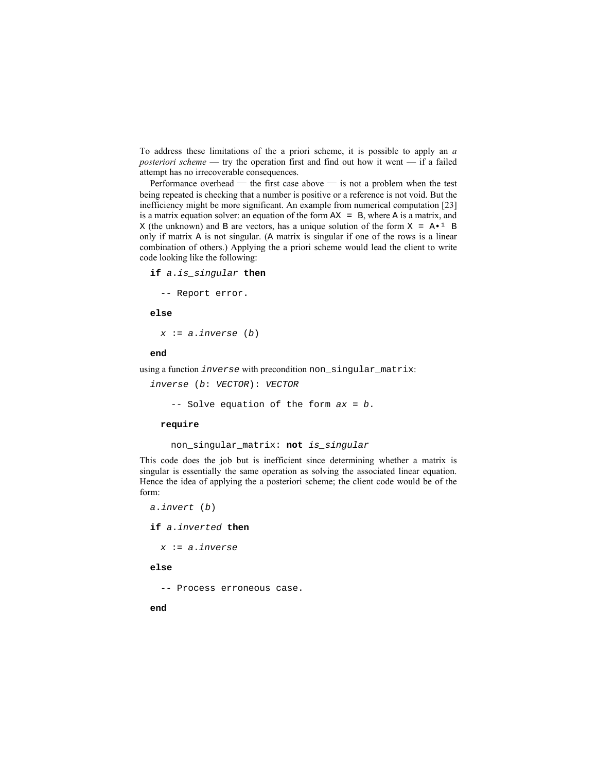To address these limitations of the a priori scheme, it is possible to apply an *a posteriori scheme* — try the operation first and find out how it went — if a failed attempt has no irrecoverable consequences.

Performance overhead — the first case above — is not a problem when the test being repeated is checking that a number is positive or a reference is not void. But the inefficiency might be more significant. An example from numerical computation [23] is a matrix equation solver: an equation of the form  $AX = B$ , where A is a matrix, and X (the unknown) and B are vectors, has a unique solution of the form  $X = A \cdot 1$  B only if matrix A is not singular. (A matrix is singular if one of the rows is a linear combination of others.) Applying the a priori scheme would lead the client to write code looking like the following:

**if** a.is\_singular **then**

```
-- Report error.
```
**else** 

 $x := a.inverse$  (b)

## **end**

using a function inverse with precondition non\_singular\_matrix:

```
inverse (b: VECTOR): VECTOR
```
 $--$  Solve equation of the form  $ax = b$ .

#### **require**

non\_singular\_matrix: **not** is\_singular

This code does the job but is inefficient since determining whether a matrix is singular is essentially the same operation as solving the associated linear equation. Hence the idea of applying the a posteriori scheme; the client code would be of the form:

```
a.invert (b)
```
**if** a.inverted **then**

 $x := a.inverse$ 

**else** 

-- Process erroneous case.

**end**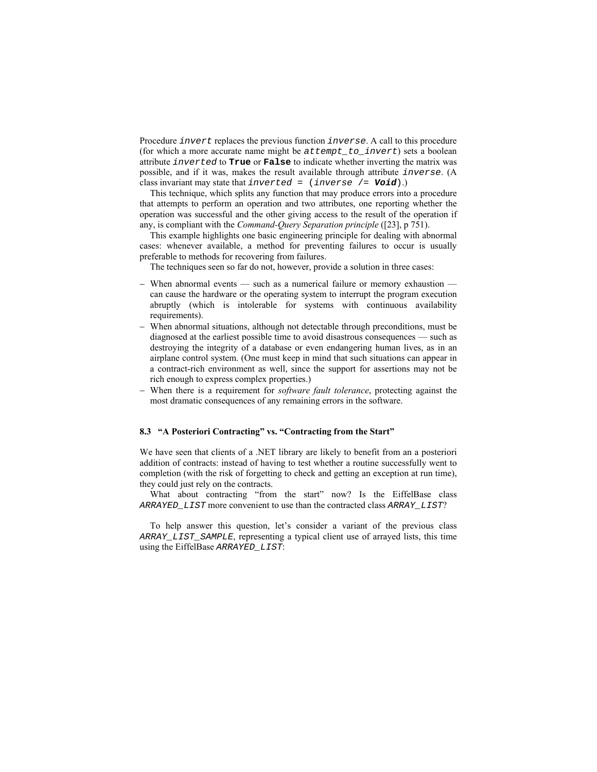Procedure *invert* replaces the previous function *inverse*. A call to this procedure (for which a more accurate name might be  $attempt$  to invert) sets a boolean attribute inverted to **True** or **False** to indicate whether inverting the matrix was possible, and if it was, makes the result available through attribute inverse. (A class invariant may state that  $inverted = (inverse / = Void)$ .)

This technique, which splits any function that may produce errors into a procedure that attempts to perform an operation and two attributes, one reporting whether the operation was successful and the other giving access to the result of the operation if any, is compliant with the *Command-Query Separation principle* ([23], p 751).

This example highlights one basic engineering principle for dealing with abnormal cases: whenever available, a method for preventing failures to occur is usually preferable to methods for recovering from failures.

The techniques seen so far do not, however, provide a solution in three cases:

- − When abnormal events such as a numerical failure or memory exhaustion can cause the hardware or the operating system to interrupt the program execution abruptly (which is intolerable for systems with continuous availability requirements).
- When abnormal situations, although not detectable through preconditions, must be diagnosed at the earliest possible time to avoid disastrous consequences — such as destroying the integrity of a database or even endangering human lives, as in an airplane control system. (One must keep in mind that such situations can appear in a contract-rich environment as well, since the support for assertions may not be rich enough to express complex properties.)
- When there is a requirement for *software fault tolerance*, protecting against the most dramatic consequences of any remaining errors in the software.

## **8.3 "A Posteriori Contracting" vs. "Contracting from the Start"**

We have seen that clients of a .NET library are likely to benefit from an a posteriori addition of contracts: instead of having to test whether a routine successfully went to completion (with the risk of forgetting to check and getting an exception at run time), they could just rely on the contracts.

What about contracting "from the start" now? Is the EiffelBase class ARRAYED\_LIST more convenient to use than the contracted class ARRAY\_LIST?

To help answer this question, let's consider a variant of the previous class ARRAY\_LIST\_SAMPLE, representing a typical client use of arrayed lists, this time using the EiffelBase ARRAYED\_LIST: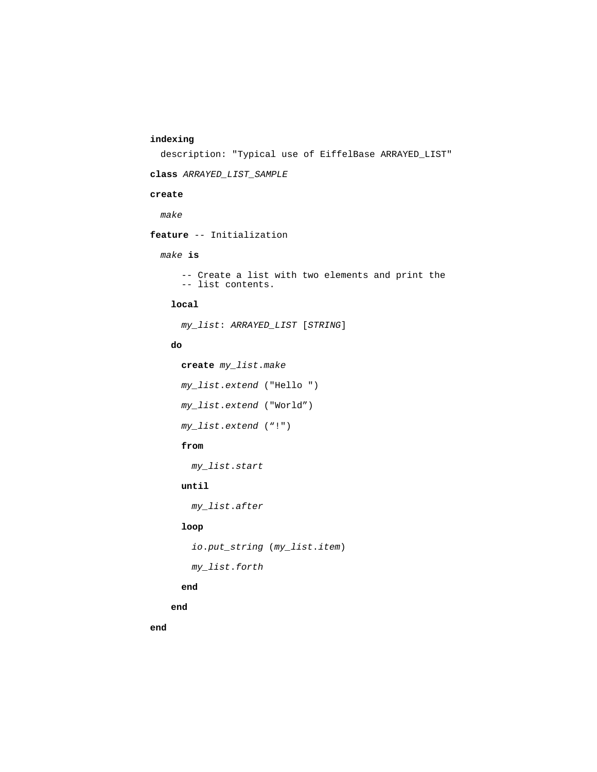# **indexing**

description: "Typical use of EiffelBase ARRAYED\_LIST"

**class** ARRAYED\_LIST\_SAMPLE

### **create**

make

```
feature -- Initialization
```
make **is**

-- Create a list with two elements and print the -- list contents.

## **local**

my\_list: ARRAYED\_LIST [STRING]

**do** 

**create** my\_list.make my\_list.extend ("Hello ")

my\_list.extend ("World")

my\_list.extend ("!")

## **from**

my\_list.start

## **until**

my\_list.after

## **loop**

io.put\_string (my\_list.item)

```
my_list.forth
```
**end** 

**end** 

**end**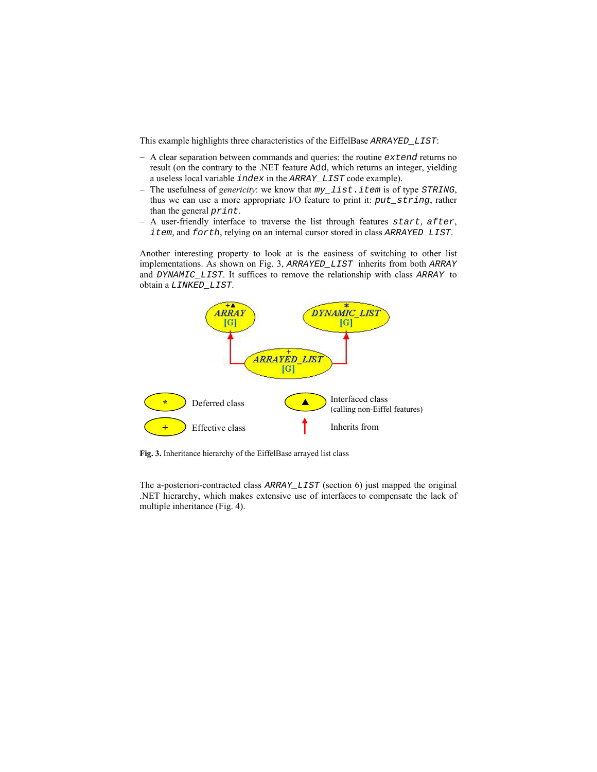This example highlights three characteristics of the EiffelBase ARRAYED\_LIST:

- − A clear separation between commands and queries: the routine extend returns no result (on the contrary to the .NET feature Add, which returns an integer, yielding a useless local variable index in the ARRAY\_LIST code example).
- − The usefulness of *genericity*: we know that my\_list.item is of type STRING, thus we can use a more appropriate I/O feature to print it: put\_string, rather than the general print.
- − A user-friendly interface to traverse the list through features start, after, item, and forth, relying on an internal cursor stored in class ARRAYED\_LIST.

Another interesting property to look at is the easiness of switching to other list implementations. As shown on Fig. 3, ARRAYED\_LIST inherits from both ARRAY and DYNAMIC\_LIST. It suffices to remove the relationship with class ARRAY to obtain a LINKED\_LIST.



**Fig. 3.** Inheritance hierarchy of the EiffelBase arrayed list class

The a-posteriori-contracted class ARRAY\_LIST (section 6) just mapped the original .NET hierarchy, which makes extensive use of interfaces to compensate the lack of multiple inheritance (Fig. 4).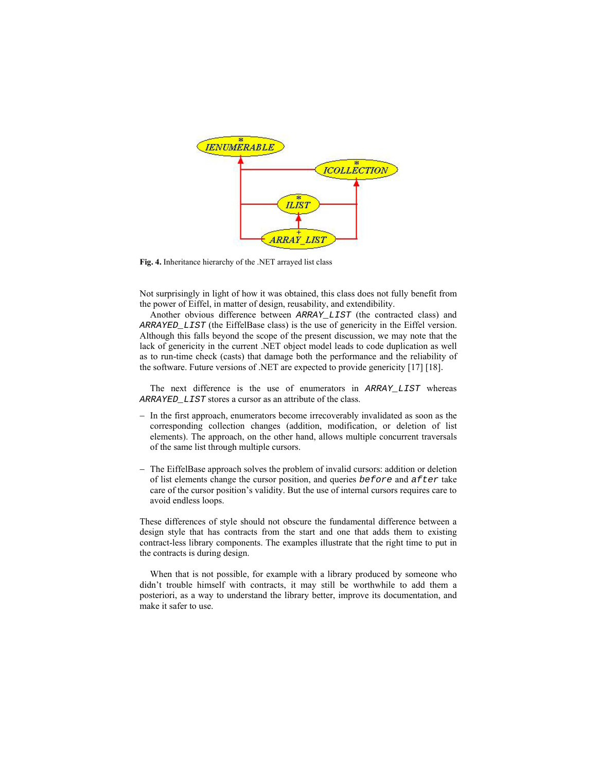

**Fig. 4.** Inheritance hierarchy of the .NET arrayed list class

Not surprisingly in light of how it was obtained, this class does not fully benefit from the power of Eiffel, in matter of design, reusability, and extendibility.

Another obvious difference between ARRAY\_LIST (the contracted class) and ARRAYED\_LIST (the EiffelBase class) is the use of genericity in the Eiffel version. Although this falls beyond the scope of the present discussion, we may note that the lack of genericity in the current .NET object model leads to code duplication as well as to run-time check (casts) that damage both the performance and the reliability of the software. Future versions of .NET are expected to provide genericity [17] [18].

The next difference is the use of enumerators in ARRAY LIST whereas ARRAYED LIST stores a cursor as an attribute of the class.

- − In the first approach, enumerators become irrecoverably invalidated as soon as the corresponding collection changes (addition, modification, or deletion of list elements). The approach, on the other hand, allows multiple concurrent traversals of the same list through multiple cursors.
- − The EiffelBase approach solves the problem of invalid cursors: addition or deletion of list elements change the cursor position, and queries before and after take care of the cursor position's validity. But the use of internal cursors requires care to avoid endless loops.

These differences of style should not obscure the fundamental difference between a design style that has contracts from the start and one that adds them to existing contract-less library components. The examples illustrate that the right time to put in the contracts is during design.

When that is not possible, for example with a library produced by someone who didn't trouble himself with contracts, it may still be worthwhile to add them a posteriori, as a way to understand the library better, improve its documentation, and make it safer to use.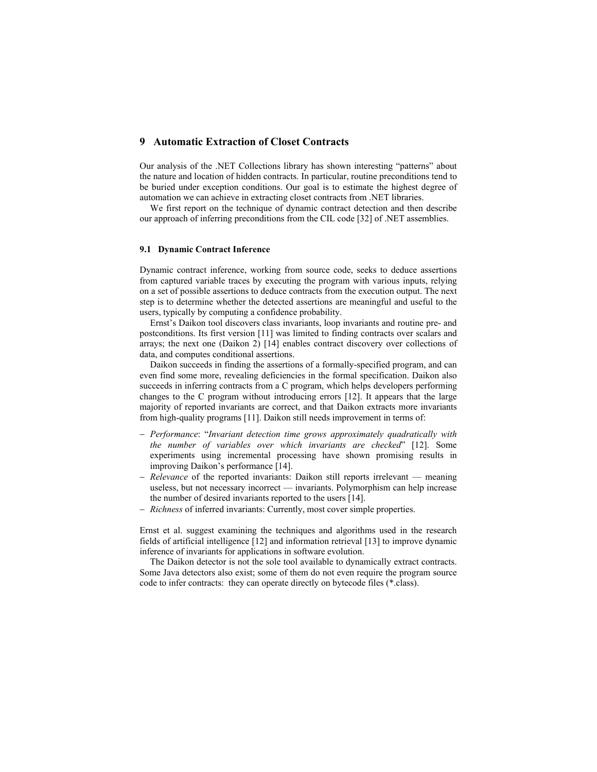# **9 Automatic Extraction of Closet Contracts**

Our analysis of the .NET Collections library has shown interesting "patterns" about the nature and location of hidden contracts. In particular, routine preconditions tend to be buried under exception conditions. Our goal is to estimate the highest degree of automation we can achieve in extracting closet contracts from .NET libraries.

We first report on the technique of dynamic contract detection and then describe our approach of inferring preconditions from the CIL code [32] of .NET assemblies.

### **9.1 Dynamic Contract Inference**

Dynamic contract inference, working from source code, seeks to deduce assertions from captured variable traces by executing the program with various inputs, relying on a set of possible assertions to deduce contracts from the execution output. The next step is to determine whether the detected assertions are meaningful and useful to the users, typically by computing a confidence probability.

Ernst's Daikon tool discovers class invariants, loop invariants and routine pre- and postconditions. Its first version [11] was limited to finding contracts over scalars and arrays; the next one (Daikon 2) [14] enables contract discovery over collections of data, and computes conditional assertions.

Daikon succeeds in finding the assertions of a formally-specified program, and can even find some more, revealing deficiencies in the formal specification. Daikon also succeeds in inferring contracts from a C program, which helps developers performing changes to the C program without introducing errors [12]. It appears that the large majority of reported invariants are correct, and that Daikon extracts more invariants from high-quality programs [11]. Daikon still needs improvement in terms of:

- − *Performance*: "*Invariant detection time grows approximately quadratically with the number of variables over which invariants are checked*" [12]. Some experiments using incremental processing have shown promising results in improving Daikon's performance [14].
- − *Relevance* of the reported invariants: Daikon still reports irrelevant meaning useless, but not necessary incorrect — invariants. Polymorphism can help increase the number of desired invariants reported to the users [14].
- − *Richness* of inferred invariants: Currently, most cover simple properties.

Ernst et al. suggest examining the techniques and algorithms used in the research fields of artificial intelligence [12] and information retrieval [13] to improve dynamic inference of invariants for applications in software evolution.

The Daikon detector is not the sole tool available to dynamically extract contracts. Some Java detectors also exist; some of them do not even require the program source code to infer contracts: they can operate directly on bytecode files (\*.class).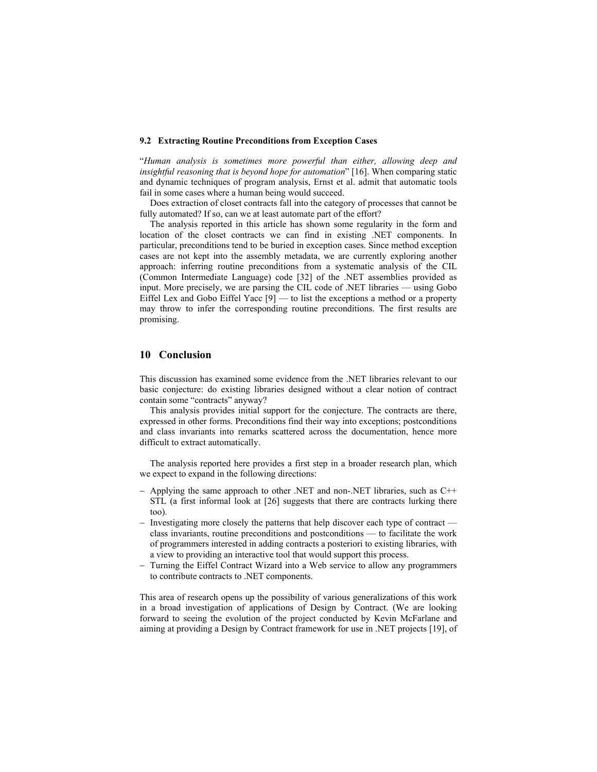### **9.2 Extracting Routine Preconditions from Exception Cases**

"*Human analysis is sometimes more powerful than either, allowing deep and insightful reasoning that is beyond hope for automation*" [16]. When comparing static and dynamic techniques of program analysis, Ernst et al. admit that automatic tools fail in some cases where a human being would succeed.

Does extraction of closet contracts fall into the category of processes that cannot be fully automated? If so, can we at least automate part of the effort?

The analysis reported in this article has shown some regularity in the form and location of the closet contracts we can find in existing .NET components. In particular, preconditions tend to be buried in exception cases. Since method exception cases are not kept into the assembly metadata, we are currently exploring another approach: inferring routine preconditions from a systematic analysis of the CIL (Common Intermediate Language) code [32] of the .NET assemblies provided as input. More precisely, we are parsing the CIL code of .NET libraries — using Gobo Eiffel Lex and Gobo Eiffel Yacc [9] — to list the exceptions a method or a property may throw to infer the corresponding routine preconditions. The first results are promising.

# **10 Conclusion**

This discussion has examined some evidence from the .NET libraries relevant to our basic conjecture: do existing libraries designed without a clear notion of contract contain some "contracts" anyway?

This analysis provides initial support for the conjecture. The contracts are there, expressed in other forms. Preconditions find their way into exceptions; postconditions and class invariants into remarks scattered across the documentation, hence more difficult to extract automatically.

The analysis reported here provides a first step in a broader research plan, which we expect to expand in the following directions:

- − Applying the same approach to other .NET and non-.NET libraries, such as C++ STL (a first informal look at [26] suggests that there are contracts lurking there too).
- − Investigating more closely the patterns that help discover each type of contract class invariants, routine preconditions and postconditions — to facilitate the work of programmers interested in adding contracts a posteriori to existing libraries, with a view to providing an interactive tool that would support this process.
- − Turning the Eiffel Contract Wizard into a Web service to allow any programmers to contribute contracts to .NET components.

This area of research opens up the possibility of various generalizations of this work in a broad investigation of applications of Design by Contract. (We are looking forward to seeing the evolution of the project conducted by Kevin McFarlane and aiming at providing a Design by Contract framework for use in .NET projects [19], of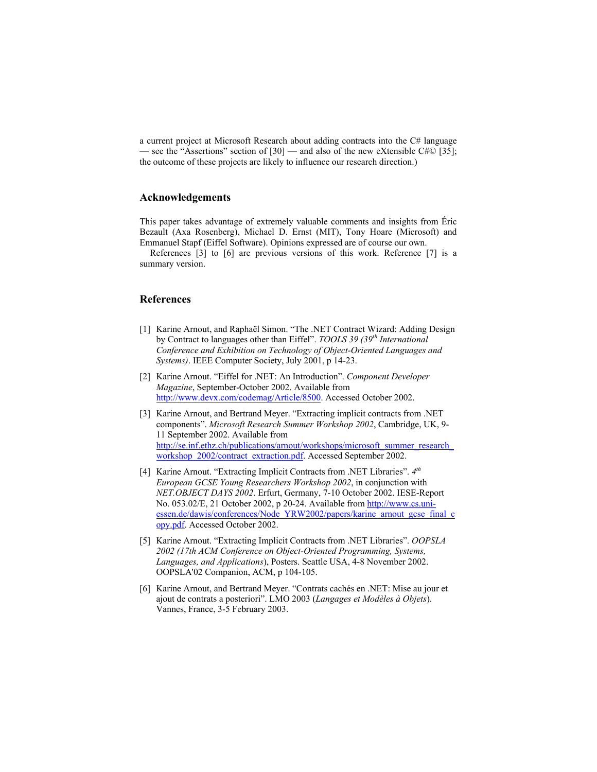a current project at Microsoft Research about adding contracts into the C# language — see the "Assertions" section of  $[30]$  — and also of the new eXtensible C#©  $[35]$ ; the outcome of these projects are likely to influence our research direction.)

# **Acknowledgements**

This paper takes advantage of extremely valuable comments and insights from Éric Bezault (Axa Rosenberg), Michael D. Ernst (MIT), Tony Hoare (Microsoft) and Emmanuel Stapf (Eiffel Software). Opinions expressed are of course our own.

References [3] to [6] are previous versions of this work. Reference [7] is a summary version.

# **References**

- [1] Karine Arnout, and Raphaël Simon. "The .NET Contract Wizard: Adding Design by Contract to languages other than Eiffel". *TOOLS 39 (39th International Conference and Exhibition on Technology of Object-Oriented Languages and Systems)*. IEEE Computer Society, July 2001, p 14-23.
- [2] Karine Arnout. "Eiffel for .NET: An Introduction". *Component Developer Magazine*, September-October 2002. Available from http://www.devx.com/codemag/Article/8500. Accessed October 2002.
- [3] Karine Arnout, and Bertrand Meyer. "Extracting implicit contracts from .NET components". *Microsoft Research Summer Workshop 2002*, Cambridge, UK, 9- 11 September 2002. Available from http://se.inf.ethz.ch/publications/arnout/workshops/microsoft\_summer\_research\_ workshop\_2002/contract\_extraction.pdf. Accessed September 2002.
- [4] Karine Arnout. "Extracting Implicit Contracts from .NET Libraries". *4th European GCSE Young Researchers Workshop 2002*, in conjunction with *NET.OBJECT DAYS 2002*. Erfurt, Germany, 7-10 October 2002. IESE-Report No. 053.02/E, 21 October 2002, p 20-24. Available from http://www.cs.uniessen.de/dawis/conferences/Node\_YRW2002/papers/karine\_arnout\_gcse\_final\_c opy.pdf. Accessed October 2002.
- [5] Karine Arnout. "Extracting Implicit Contracts from .NET Libraries". *OOPSLA 2002 (17th ACM Conference on Object-Oriented Programming, Systems, Languages, and Applications*), Posters. Seattle USA, 4-8 November 2002. OOPSLA'02 Companion, ACM, p 104-105.
- [6] Karine Arnout, and Bertrand Meyer. "Contrats cachés en .NET: Mise au jour et ajout de contrats a posteriori". LMO 2003 (*Langages et Modèles à Objets*). Vannes, France, 3-5 February 2003.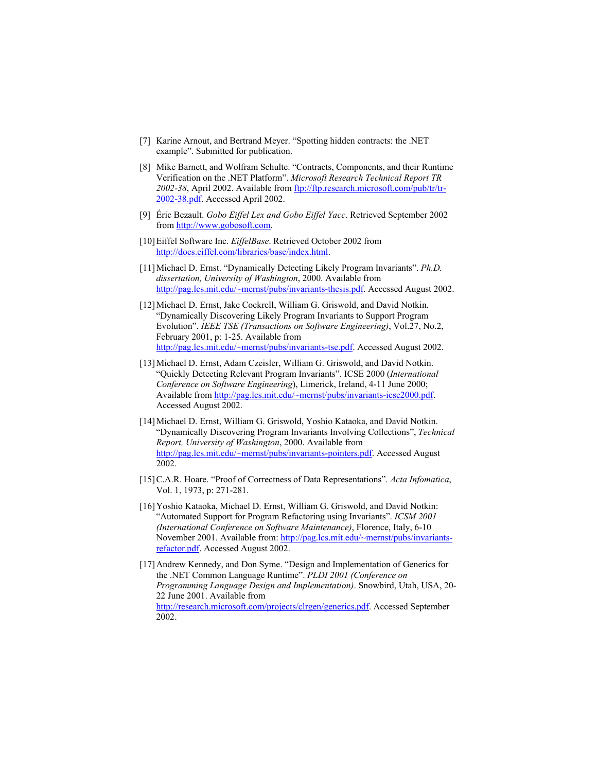- [7] Karine Arnout, and Bertrand Meyer. "Spotting hidden contracts: the .NET example". Submitted for publication.
- [8] Mike Barnett, and Wolfram Schulte. "Contracts, Components, and their Runtime Verification on the .NET Platform". *Microsoft Research Technical Report TR 2002-38*, April 2002. Available from ftp://ftp.research.microsoft.com/pub/tr/tr-2002-38.pdf. Accessed April 2002.
- [9] Éric Bezault. *Gobo Eiffel Lex and Gobo Eiffel Yacc*. Retrieved September 2002 from http://www.gobosoft.com.
- [10]Eiffel Software Inc. *EiffelBase*. Retrieved October 2002 from http://docs.eiffel.com/libraries/base/index.html.
- [11]Michael D. Ernst. "Dynamically Detecting Likely Program Invariants". *Ph.D. dissertation, University of Washington*, 2000. Available from http://pag.lcs.mit.edu/~mernst/pubs/invariants-thesis.pdf. Accessed August 2002.
- [12] Michael D. Ernst, Jake Cockrell, William G. Griswold, and David Notkin. "Dynamically Discovering Likely Program Invariants to Support Program Evolution". *IEEE TSE (Transactions on Software Engineering)*, Vol.27, No.2, February 2001, p: 1-25. Available from http://pag.lcs.mit.edu/~mernst/pubs/invariants-tse.pdf. Accessed August 2002.
- [13] Michael D. Ernst, Adam Czeisler, William G. Griswold, and David Notkin. "Quickly Detecting Relevant Program Invariants". ICSE 2000 (*International Conference on Software Engineering*), Limerick, Ireland, 4-11 June 2000; Available from http://pag.lcs.mit.edu/~mernst/pubs/invariants-icse2000.pdf. Accessed August 2002.
- [14]Michael D. Ernst, William G. Griswold, Yoshio Kataoka, and David Notkin. "Dynamically Discovering Program Invariants Involving Collections", *Technical Report, University of Washington*, 2000. Available from http://pag.lcs.mit.edu/~mernst/pubs/invariants-pointers.pdf. Accessed August 2002.
- [15]C.A.R. Hoare. "Proof of Correctness of Data Representations". *Acta Infomatica*, Vol. 1, 1973, p: 271-281.
- [16]Yoshio Kataoka, Michael D. Ernst, William G. Griswold, and David Notkin: "Automated Support for Program Refactoring using Invariants". *ICSM 2001 (International Conference on Software Maintenance)*, Florence, Italy, 6-10 November 2001. Available from: http://pag.lcs.mit.edu/~mernst/pubs/invariantsrefactor.pdf. Accessed August 2002.
- [17]Andrew Kennedy, and Don Syme. "Design and Implementation of Generics for the .NET Common Language Runtime". *PLDI 2001 (Conference on Programming Language Design and Implementation)*. Snowbird, Utah, USA, 20- 22 June 2001. Available from http://research.microsoft.com/projects/clrgen/generics.pdf. Accessed September 2002.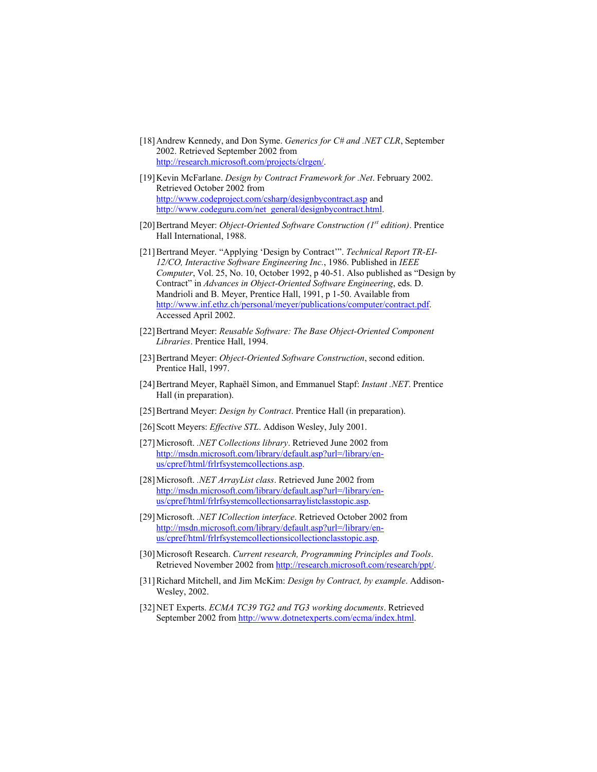- [18]Andrew Kennedy, and Don Syme. *Generics for C# and .NET CLR*, September 2002. Retrieved September 2002 from http://research.microsoft.com/projects/clrgen/.
- [19]Kevin McFarlane. *Design by Contract Framework for .Net*. February 2002. Retrieved October 2002 from http://www.codeproject.com/csharp/designbycontract.asp and http://www.codeguru.com/net\_general/designbycontract.html.
- [20]Bertrand Meyer: *Object-Oriented Software Construction (1st edition)*. Prentice Hall International, 1988.
- [21]Bertrand Meyer. "Applying 'Design by Contract'". *Technical Report TR-EI-12/CO, Interactive Software Engineering Inc.*, 1986. Published in *IEEE Computer*, Vol. 25, No. 10, October 1992, p 40-51. Also published as "Design by Contract" in *Advances in Object-Oriented Software Engineering*, eds. D. Mandrioli and B. Meyer, Prentice Hall, 1991, p 1-50. Available from http://www.inf.ethz.ch/personal/meyer/publications/computer/contract.pdf. Accessed April 2002.
- [22]Bertrand Meyer: *Reusable Software: The Base Object-Oriented Component Libraries*. Prentice Hall, 1994.
- [23]Bertrand Meyer: *Object-Oriented Software Construction*, second edition. Prentice Hall, 1997.
- [24]Bertrand Meyer, Raphaël Simon, and Emmanuel Stapf: *Instant .NET*. Prentice Hall (in preparation).
- [25] Bertrand Meyer: *Design by Contract*. Prentice Hall (in preparation).
- [26] Scott Meyers: *Effective STL*. Addison Wesley, July 2001.
- [27]Microsoft. *.NET Collections library*. Retrieved June 2002 from http://msdn.microsoft.com/library/default.asp?url=/library/enus/cpref/html/frlrfsystemcollections.asp.
- [28]Microsoft. *.NET ArrayList class*. Retrieved June 2002 from http://msdn.microsoft.com/library/default.asp?url=/library/enus/cpref/html/frlrfsystemcollectionsarraylistclasstopic.asp.
- [29]Microsoft. *.NET ICollection interface*. Retrieved October 2002 from http://msdn.microsoft.com/library/default.asp?url=/library/enus/cpref/html/frlrfsystemcollectionsicollectionclasstopic.asp.
- [30]Microsoft Research. *Current research, Programming Principles and Tools*. Retrieved November 2002 from http://research.microsoft.com/research/ppt/.
- [31]Richard Mitchell, and Jim McKim: *Design by Contract, by example*. Addison-Wesley, 2002.
- [32]NET Experts. *ECMA TC39 TG2 and TG3 working documents*. Retrieved September 2002 from http://www.dotnetexperts.com/ecma/index.html.